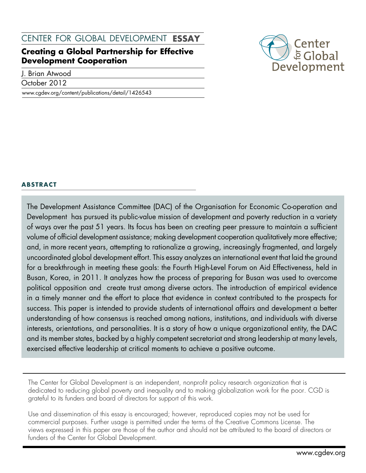center for global development **essay**

# **Creating a Global Partnership for Effective Development Cooperation**

J. Brian Atwood

October 2012

www.cgdev.org/content/publications/detail/1426543



## **abstract**

The Development Assistance Committee (DAC) of the Organisation for Economic Co-operation and Development has pursued its public-value mission of development and poverty reduction in a variety of ways over the past 51 years. Its focus has been on creating peer pressure to maintain a sufficient volume of official development assistance; making development cooperation qualitatively more effective; and, in more recent years, attempting to rationalize a growing, increasingly fragmented, and largely uncoordinated global development effort. This essay analyzes an international event that laid the ground for a breakthrough in meeting these goals: the Fourth High-Level Forum on Aid Effectiveness, held in Busan, Korea, in 2011. It analyzes how the process of preparing for Busan was used to overcome political opposition and create trust among diverse actors. The introduction of empirical evidence in a timely manner and the effort to place that evidence in context contributed to the prospects for success. This paper is intended to provide students of international affairs and development a better understanding of how consensus is reached among nations, institutions, and individuals with diverse interests, orientations, and personalities. It is a story of how a unique organizational entity, the DAC and its member states, backed by a highly competent secretariat and strong leadership at many levels, exercised effective leadership at critical moments to achieve a positive outcome.

The Center for Global Development is an independent, nonprofit policy research organization that is dedicated to reducing global poverty and inequality and to making globalization work for the poor. CGD is grateful to its funders and board of directors for support of this work.

Use and dissemination of this essay is encouraged; however, reproduced copies may not be used for commercial purposes. Further usage is permitted under the terms of the Creative Commons License. The views expressed in this paper are those of the author and should not be attributed to the board of directors or funders of the Center for Global Development.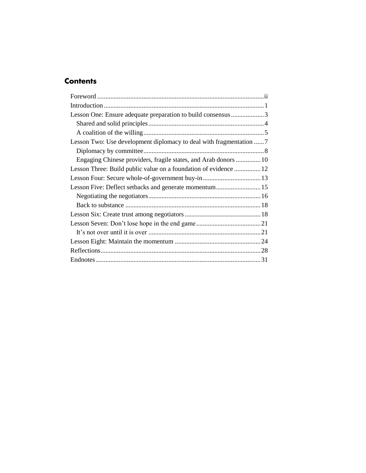# **Contents**

| Lesson One: Ensure adequate preparation to build consensus3<br>Lesson Two: Use development diplomacy to deal with fragmentation  7<br>Engaging Chinese providers, fragile states, and Arab donors  10 |
|-------------------------------------------------------------------------------------------------------------------------------------------------------------------------------------------------------|
|                                                                                                                                                                                                       |
|                                                                                                                                                                                                       |
|                                                                                                                                                                                                       |
|                                                                                                                                                                                                       |
|                                                                                                                                                                                                       |
|                                                                                                                                                                                                       |
|                                                                                                                                                                                                       |
|                                                                                                                                                                                                       |
|                                                                                                                                                                                                       |
|                                                                                                                                                                                                       |
|                                                                                                                                                                                                       |
|                                                                                                                                                                                                       |
|                                                                                                                                                                                                       |
|                                                                                                                                                                                                       |
|                                                                                                                                                                                                       |
|                                                                                                                                                                                                       |
|                                                                                                                                                                                                       |
|                                                                                                                                                                                                       |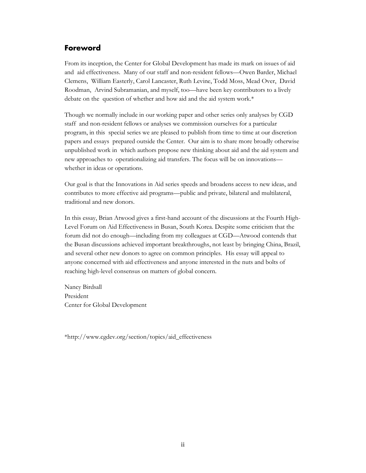## <span id="page-3-0"></span>**Foreword**

From its inception, the Center for Global Development has made its mark on issues of aid and aid effectiveness. Many of our staff and non-resident fellows—Owen Barder, Michael Clemens, William Easterly, Carol Lancaster, Ruth Levine, Todd Moss, Mead Over, David Roodman, Arvind Subramanian, and myself, too—have been key contributors to a lively debate on the question of whether and how aid and the aid system work.\*

Though we normally include in our working paper and other series only analyses by CGD staff and non-resident fellows or analyses we commission ourselves for a particular program, in this special series we are pleased to publish from time to time at our discretion papers and essays prepared outside the Center. Our aim is to share more broadly otherwise unpublished work in which authors propose new thinking about aid and the aid system and new approaches to operationalizing aid transfers. The focus will be on innovations whether in ideas or operations.

Our goal is that the Innovations in Aid series speeds and broadens access to new ideas, and contributes to more effective aid programs—public and private, bilateral and multilateral, traditional and new donors.

In this essay, Brian Atwood gives a first-hand account of the discussions at the Fourth High-Level Forum on Aid Effectiveness in Busan, South Korea. Despite some criticism that the forum did not do enough—including from my colleagues at CGD—Atwood contends that the Busan discussions achieved important breakthroughs, not least by bringing China, Brazil, and several other new donors to agree on common principles. His essay will appeal to anyone concerned with aid effectiveness and anyone interested in the nuts and bolts of reaching high-level consensus on matters of global concern.

Nancy Birdsall President Center for Global Development

[\\*http://www.cgdev.org/section/topics/aid\\_effectiveness](http://www.cgdev.org/section/topics/aid_effectiveness)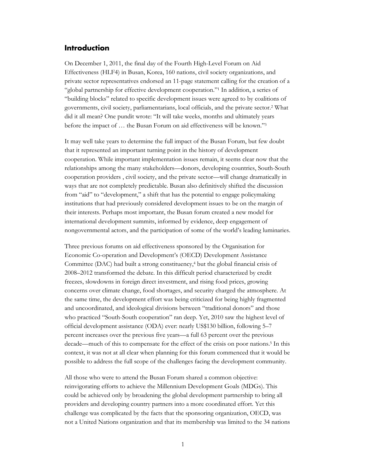#### <span id="page-4-0"></span>**Introduction**

On December 1, 2011, the final day of the Fourth High-Level Forum on Aid Effectiveness (HLF4) in Busan, Korea, 160 nations, civil society organizations, and private sector representatives endorsed an 11-page statement calling for the creation of a "global partnership for effective development cooperation."<sup>1</sup> In addition, a series of "building blocks" related to specific development issues were agreed to by coalitions of governments, civil society, parliamentarians, local officials, and the private sector. <sup>2</sup> What did it all mean? One pundit wrote: "It will take weeks, months and ultimately years before the impact of … the Busan Forum on aid effectiveness will be known." 3

It may well take years to determine the full impact of the Busan Forum, but few doubt that it represented an important turning point in the history of development cooperation. While important implementation issues remain, it seems clear now that the relationships among the many stakeholders—donors, developing countries, South-South cooperation providers , civil society, and the private sector—will change dramatically in ways that are not completely predictable. Busan also definitively shifted the discussion from "aid" to "development," a shift that has the potential to engage policymaking institutions that had previously considered development issues to be on the margin of their interests. Perhaps most important, the Busan forum created a new model for international development summits, informed by evidence, deep engagement of nongovernmental actors, and the participation of some of the world's leading luminaries.

Three previous forums on aid effectiveness sponsored by the Organisation for Economic Co-operation and Development's (OECD) Development Assistance Committee (DAC) had built a strong constituency,<sup>4</sup> but the global financial crisis of 2008–2012 transformed the debate. In this difficult period characterized by credit freezes, slowdowns in foreign direct investment, and rising food prices, growing concerns over climate change, food shortages, and security charged the atmosphere. At the same time, the development effort was being criticized for being highly fragmented and uncoordinated, and ideological divisions between "traditional donors" and those who practiced "South-South cooperation" ran deep. Yet, 2010 saw the highest level of official development assistance (ODA) ever: nearly US\$130 billion, following 5–7 percent increases over the previous five years—a full 63 percent over the previous decade—much of this to compensate for the effect of the crisis on poor nations. <sup>5</sup> In this context, it was not at all clear when planning for this forum commenced that it would be possible to address the full scope of the challenges facing the development community.

All those who were to attend the Busan Forum shared a common objective: reinvigorating efforts to achieve the Millennium Development Goals (MDGs). This could be achieved only by broadening the global development partnership to bring all providers and developing country partners into a more coordinated effort. Yet this challenge was complicated by the facts that the sponsoring organization, OECD, was not a United Nations organization and that its membership was limited to the 34 nations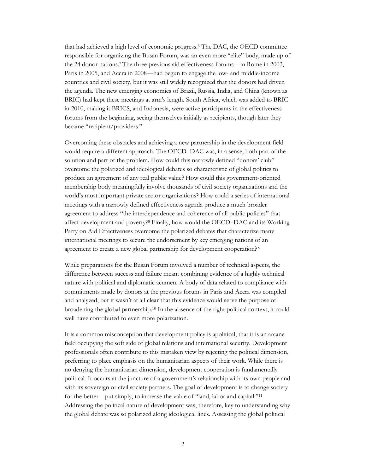that had achieved a high level of economic progress.<sup>6</sup> The DAC, the OECD committee responsible for organizing the Busan Forum, was an even more "elite" body, made up of the 24 donor nations. <sup>7</sup> The three previous aid effectiveness forums—in Rome in 2003, Paris in 2005, and Accra in 2008—had begun to engage the low- and middle-income countries and civil society, but it was still widely recognized that the donors had driven the agenda. The new emerging economies of Brazil, Russia, India, and China (known as BRIC) had kept these meetings at arm's length. South Africa, which was added to BRIC in 2010, making it BRICS, and Indonesia, were active participants in the effectiveness forums from the beginning, seeing themselves initially as recipients, though later they became "recipient/providers."

Overcoming these obstacles and achieving a new partnership in the development field would require a different approach. The OECD–DAC was, in a sense, both part of the solution and part of the problem. How could this narrowly defined "donors' club" overcome the polarized and ideological debates so characteristic of global politics to produce an agreement of any real public value? How could this government-oriented membership body meaningfully involve thousands of civil society organizations and the world's most important private sector organizations? How could a series of international meetings with a narrowly defined effectiveness agenda produce a much broader agreement to address "the interdependence and coherence of all public policies" that affect development and poverty?<sup>8</sup> Finally, how would the OECD–DAC and its Working Party on Aid Effectiveness overcome the polarized debates that characterize many international meetings to secure the endorsement by key emerging nations of an agreement to create a new global partnership for development cooperation?<sup>9</sup>

While preparations for the Busan Forum involved a number of technical aspects, the difference between success and failure meant combining evidence of a highly technical nature with political and diplomatic acumen. A body of data related to compliance with commitments made by donors at the previous forums in Paris and Accra was compiled and analyzed, but it wasn't at all clear that this evidence would serve the purpose of broadening the global partnership.<sup>10</sup> In the absence of the right political context, it could well have contributed to even more polarization.

It is a common misconception that development policy is apolitical, that it is an arcane field occupying the soft side of global relations and international security. Development professionals often contribute to this mistaken view by rejecting the political dimension, preferring to place emphasis on the humanitarian aspects of their work. While there is no denying the humanitarian dimension, development cooperation is fundamentally political. It occurs at the juncture of a government's relationship with its own people and with its sovereign or civil society partners. The goal of development is to change society for the better—put simply, to increase the value of "land, labor and capital."<sup>11</sup> Addressing the political nature of development was, therefore, key to understanding why the global debate was so polarized along ideological lines. Assessing the global political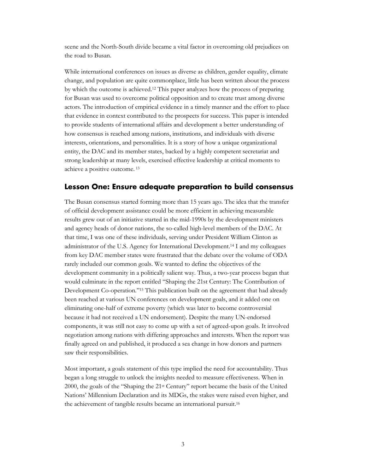scene and the North-South divide became a vital factor in overcoming old prejudices on the road to Busan.

While international conferences on issues as diverse as children, gender equality, climate change, and population are quite commonplace, little has been written about the process by which the outcome is achieved. <sup>12</sup> This paper analyzes how the process of preparing for Busan was used to overcome political opposition and to create trust among diverse actors. The introduction of empirical evidence in a timely manner and the effort to place that evidence in context contributed to the prospects for success. This paper is intended to provide students of international affairs and development a better understanding of how consensus is reached among nations, institutions, and individuals with diverse interests, orientations, and personalities. It is a story of how a unique organizational entity, the DAC and its member states, backed by a highly competent secretariat and strong leadership at many levels, exercised effective leadership at critical moments to achieve a positive outcome. 13

## <span id="page-6-0"></span>**Lesson One: Ensure adequate preparation to build consensus**

The Busan consensus started forming more than 15 years ago. The idea that the transfer of official development assistance could be more efficient in achieving measurable results grew out of an initiative started in the mid-1990s by the development ministers and agency heads of donor nations, the so-called high-level members of the DAC. At that time, I was one of these individuals, serving under President William Clinton as administrator of the U.S. Agency for International Development.<sup>14</sup> I and my colleagues from key DAC member states were frustrated that the debate over the volume of ODA rarely included our common goals. We wanted to define the objectives of the development community in a politically salient way. Thus, a two-year process began that would culminate in the report entitled "Shaping the 21st Century: The Contribution of Development Co-operation*.*" <sup>15</sup> This publication built on the agreement that had already been reached at various UN conferences on development goals, and it added one on eliminating one-half of extreme poverty (which was later to become controversial because it had not received a UN endorsement). Despite the many UN-endorsed components, it was still not easy to come up with a set of agreed-upon goals. It involved negotiation among nations with differing approaches and interests. When the report was finally agreed on and published, it produced a sea change in how donors and partners saw their responsibilities.

Most important, a goals statement of this type implied the need for accountability. Thus began a long struggle to unlock the insights needed to measure effectiveness. When in 2000, the goals of the "Shaping the 21st Century" report became the basis of the United Nations' Millennium Declaration and its MDGs, the stakes were raised even higher, and the achievement of tangible results became an international pursuit. 16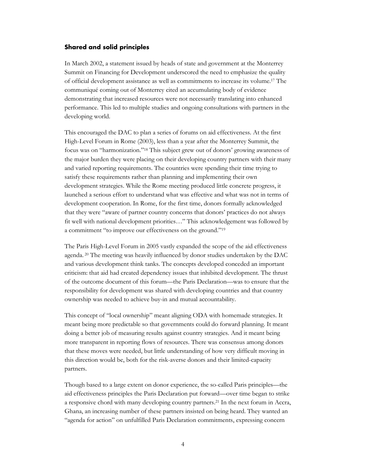#### <span id="page-7-0"></span>**Shared and solid principles**

In March 2002, a statement issued by heads of state and government at the Monterrey Summit on Financing for Development underscored the need to emphasize the quality of official development assistance as well as commitments to increase its volume.<sup>17</sup> The communiqué coming out of Monterrey cited an accumulating body of evidence demonstrating that increased resources were not necessarily translating into enhanced performance. This led to multiple studies and ongoing consultations with partners in the developing world.

This encouraged the DAC to plan a series of forums on aid effectiveness. At the first High-Level Forum in Rome (2003), less than a year after the Monterrey Summit, the focus was on "harmonization." <sup>18</sup> This subject grew out of donors' growing awareness of the major burden they were placing on their developing country partners with their many and varied reporting requirements. The countries were spending their time trying to satisfy these requirements rather than planning and implementing their own development strategies. While the Rome meeting produced little concrete progress, it launched a serious effort to understand what was effective and what was not in terms of development cooperation. In Rome, for the first time, donors formally acknowledged that they were "aware of partner country concerns that donors' practices do not always fit well with national development priorities…" This acknowledgement was followed by a commitment "to improve our effectiveness on the ground."<sup>19</sup>

The Paris High-Level Forum in 2005 vastly expanded the scope of the aid effectiveness agenda. <sup>20</sup> The meeting was heavily influenced by donor studies undertaken by the DAC and various development think tanks. The concepts developed conceded an important criticism: that aid had created dependency issues that inhibited development. The thrust of the outcome document of this forum—the Paris Declaration—was to ensure that the responsibility for development was shared with developing countries and that country ownership was needed to achieve buy-in and mutual accountability.

This concept of "local ownership" meant aligning ODA with homemade strategies. It meant being more predictable so that governments could do forward planning. It meant doing a better job of measuring results against country strategies. And it meant being more transparent in reporting flows of resources. There was consensus among donors that these moves were needed, but little understanding of how very difficult moving in this direction would be, both for the risk-averse donors and their limited-capacity partners.

Though based to a large extent on donor experience, the so-called Paris principles—the aid effectiveness principles the Paris Declaration put forward—over time began to strike a responsive chord with many developing country partners. <sup>21</sup> In the next forum in Accra, Ghana, an increasing number of these partners insisted on being heard. They wanted an "agenda for action" on unfulfilled Paris Declaration commitments, expressing concern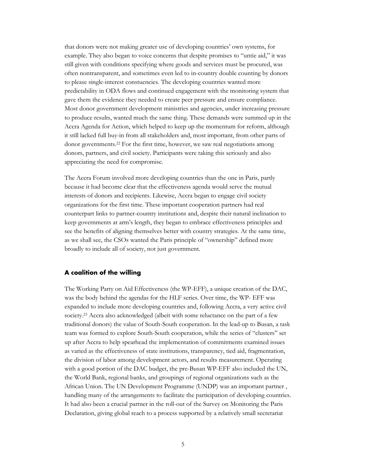that donors were not making greater use of developing countries' own systems, for example. They also began to voice concerns that despite promises to "untie aid," it was still given with conditions specifying where goods and services must be procured, was often nontransparent, and sometimes even led to in-country double counting by donors to please single-interest constuencies. The developing countries wanted more predictability in ODA flows and continued engagement with the monitoring system that gave them the evidence they needed to create peer pressure and ensure compliance. Most donor government development ministries and agencies, under increasing pressure to produce results, wanted much the same thing. These demands were summed up in the Accra Agenda for Action, which helped to keep up the momentum for reform, although it still lacked full buy-in from all stakeholders and, most important, from other parts of donor governments.<sup>22</sup> For the first time, however, we saw real negotiations among donors, partners, and civil society. Participants were taking this seriously and also appreciating the need for compromise.

The Accra Forum involved more developing countries than the one in Paris, partly because it had become clear that the effectiveness agenda would serve the mutual interests of donors and recipients. Likewise, Accra began to engage civil society organizations for the first time. These important cooperation partners had real counterpart links to partner-country institutions and, despite their natural inclination to keep governments at arm's length, they began to embrace effectiveness principles and see the benefits of aligning themselves better with country strategies. At the same time, as we shall see, the CSOs wanted the Paris principle of "ownership" defined more broadly to include all of society, not just government.

#### <span id="page-8-0"></span>**A coalition of the willing**

The Working Party on Aid Effectiveness (the WP-EFF), a unique creation of the DAC, was the body behind the agendas for the HLF series. Over time, the WP- EFF was expanded to include more developing countries and, following Accra, a very active civil society.<sup>23</sup> Accra also acknowledged (albeit with some reluctance on the part of a few traditional donors) the value of South-South cooperation. In the lead-up to Busan, a task team was formed to explore South-South cooperation, while the series of "clusters" set up after Accra to help spearhead the implementation of commitments examined issues as varied as the effectiveness of state institutions, transparency, tied aid, fragmentation, the division of labor among development actors, and results measurement. Operating with a good portion of the DAC budget, the pre-Busan WP-EFF also included the UN, the World Bank, regional banks, and groupings of regional organizations such as the African Union. The UN Development Programme (UNDP) was an important partner , handling many of the arrangements to facilitate the participation of developing countries. It had also been a crucial partner in the roll-out of the Survey on Monitoring the Paris Declaration, giving global reach to a process supported by a relatively small secretariat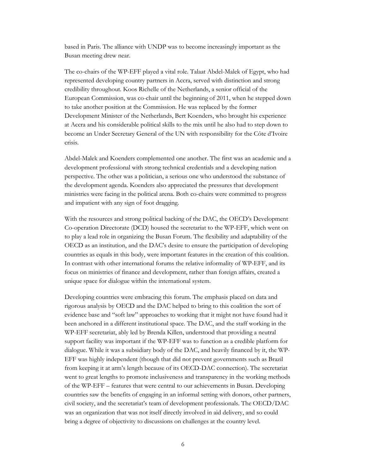based in Paris. The alliance with UNDP was to become increasingly important as the Busan meeting drew near.

The co-chairs of the WP-EFF played a vital role. Talaat Abdel-Malek of Egypt, who had represented developing country partners in Accra, served with distinction and strong credibility throughout. Koos Richelle of the Netherlands, a senior official of the European Commission, was co-chair until the beginning of 2011, when he stepped down to take another position at the Commission. He was replaced by the former Development Minister of the Netherlands, Bert Koenders, who brought his experience at Accra and his considerable political skills to the mix until he also had to step down to become an Under Secretary General of the UN with responsibility for the Côte d'Ivoire crisis.

Abdel-Malek and Koenders complemented one another. The first was an academic and a development professional with strong technical credentials and a developing nation perspective. The other was a politician, a serious one who understood the substance of the development agenda. Koenders also appreciated the pressures that development ministries were facing in the political arena. Both co-chairs were committed to progress and impatient with any sign of foot dragging.

With the resources and strong political backing of the DAC, the OECD's Development Co-operation Directorate (DCD) housed the secretariat to the WP-EFF, which went on to play a lead role in organizing the Busan Forum. The flexibility and adaptability of the OECD as an institution, and the DAC's desire to ensure the participation of developing countries as equals in this body, were important features in the creation of this coalition. In contrast with other international forums the relative informality of WP-EFF, and its focus on ministries of finance and development, rather than foreign affairs, created a unique space for dialogue within the international system.

Developing countries were embracing this forum. The emphasis placed on data and rigorous analysis by OECD and the DAC helped to bring to this coalition the sort of evidence base and "soft law" approaches to working that it might not have found had it been anchored in a different institutional space. The DAC, and the staff working in the WP-EFF secretariat, ably led by Brenda Killen, understood that providing a neutral support facility was important if the WP-EFF was to function as a credible platform for dialogue. While it was a subsidiary body of the DAC, and heavily financed by it, the WP-EFF was highly independent (though that did not prevent governments such as Brazil from keeping it at arm's length because of its OECD-DAC connection). The secretariat went to great lengths to promote inclusiveness and transparency in the working methods of the WP-EFF – features that were central to our achievements in Busan. Developing countries saw the benefits of engaging in an informal setting with donors, other partners, civil society, and the secretariat's team of development professionals. The OECD/DAC was an organization that was not itself directly involved in aid delivery, and so could bring a degree of objectivity to discussions on challenges at the country level.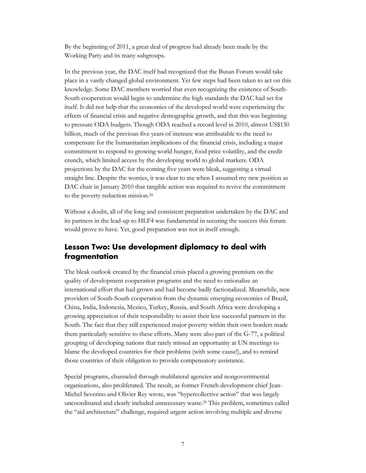By the beginning of 2011, a great deal of progress had already been made by the Working Party and its many subgroups.

In the previous year, the DAC itself had recognized that the Busan Forum would take place in a vastly changed global environment. Yet few steps had been taken to act on this knowledge. Some DAC members worried that even recognizing the existence of South-South cooperation would begin to undermine the high standards the DAC had set for itself. It did not help that the economies of the developed world were experiencing the effects of financial crisis and negative demographic growth, and that this was beginning to pressure ODA budgets. Though ODA reached a record level in 2010, almost US\$130 billion, much of the previous five years of increase was attributable to the need to compensate for the humanitarian implications of the financial crisis, including a major commitment to respond to growing world hunger, food price volatility, and the credit crunch, which limited access by the developing world to global markets. ODA projections by the DAC for the coming five years were bleak, suggesting a virtual straight line. Despite the worries, it was clear to me when I assumed my new position as DAC chair in January 2010 that tangible action was required to revive the commitment to the poverty reduction mission.<sup>24</sup>

Without a doubt, all of the long and consistent preparation undertaken by the DAC and its partners in the lead-up to HLF4 was fundamental in securing the success this forum would prove to have. Yet, good preparation was not in itself enough.

## <span id="page-10-0"></span>**Lesson Two: Use development diplomacy to deal with fragmentation**

The bleak outlook created by the financial crisis placed a growing premium on the quality of development cooperation programs and the need to rationalize an international effort that had grown and had become badly factionalized. Meanwhile, new providers of South-South cooperation from the dynamic emerging economies of Brazil, China, India, Indonesia, Mexico, Turkey, Russia, and South Africa were developing a growing appreciation of their responsibility to assist their less successful partners in the South. The fact that they still experienced major poverty within their own borders made them particularly sensitive to these efforts. Many were also part of the G-77, a political grouping of developing nations that rarely missed an opportunity at UN meetings to blame the developed countries for their problems (with some cause!), and to remind those countries of their obligation to provide compensatory assistance.

Special programs, channeled through multilateral agencies and nongovernmental organizations, also proliferated. The result, as former French development chief Jean-Michel Severino and Olivier Rey wrote, was "hypercollective action" that was largely uncoordinated and clearly included unnecessary waste.<sup>25</sup> This problem, sometimes called the "aid architecture" challenge, required urgent action involving multiple and diverse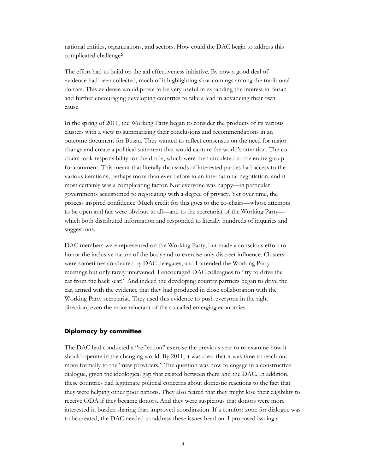national entities, organizations, and sectors. How could the DAC begin to address this complicated challenge?

The effort had to build on the aid effectiveness initiative. By now a good deal of evidence had been collected, much of it highlighting shortcomings among the traditional donors. This evidence would prove to be very useful in expanding the interest in Busan and further encouraging developing countries to take a lead in advancing their own cause.

In the spring of 2011, the Working Party began to consider the products of its various clusters with a view to summarizing their conclusions and recommendations in an outcome document for Busan. They wanted to reflect consensus on the need for major change and create a political statement that would capture the world's attention. The cochairs took responsibility for the drafts, which were then circulated to the entire group for comment. This meant that literally thousands of interested parties had access to the various iterations, perhaps more than ever before in an international negotiation, and it most certainly was a complicating factor. Not everyone was happy—in particular governments accustomed to negotiating with a degree of privacy. Yet over time, the process inspired confidence. Much credit for this goes to the co-chairs—whose attempts to be open and fair were obvious to all—and to the secretariat of the Working Party which both distributed information and responded to literally hundreds of inquiries and suggestions.

DAC members were represented on the Working Party, but made a conscious effort to honor the inclusive nature of the body and to exercise only discreet influence. Clusters were sometimes co-chaired by DAC delegates, and I attended the Working Party meetings but only rarely intervened. I encouraged DAC colleagues to "try to drive the car from the back seat!" And indeed the developing country partners began to drive the car, armed with the evidence that they had produced in close collaboration with the Working Party secretariat. They used this evidence to push everyone in the right direction, even the more reluctant of the so-called emerging economies.

#### <span id="page-11-0"></span>**Diplomacy by committee**

The DAC had conducted a "reflection" exercise the previous year to re-examine how it should operate in the changing world. By 2011, it was clear that it was time to reach out more formally to the "new providers." The question was how to engage in a constructive dialogue, given the ideological gap that existed between them and the DAC. In addition, these countries had legitimate political concerns about domestic reactions to the fact that they were helping other poor nations. They also feared that they might lose their eligibility to receive ODA if they became donors. And they were suspicious that donors were more interested in burden sharing than improved coordination. If a comfort zone for dialogue was to be created, the DAC needed to address these issues head on. I proposed issuing a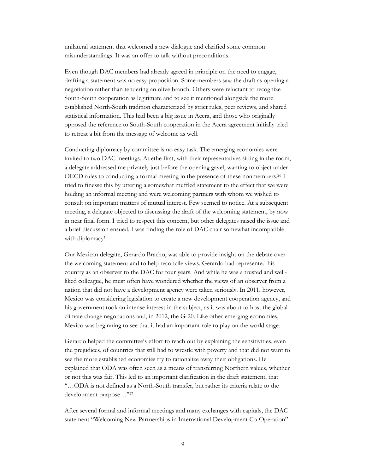unilateral statement that welcomed a new dialogue and clarified some common misunderstandings. It was an offer to talk without preconditions.

Even though DAC members had already agreed in principle on the need to engage, drafting a statement was no easy proposition. Some members saw the draft as opening a negotiation rather than tendering an olive branch. Others were reluctant to recognize South-South cooperation as legitimate and to see it mentioned alongside the more established North-South tradition characterized by strict rules, peer reviews, and shared statistical information. This had been a big issue in Accra, and those who originally opposed the reference to South-South cooperation in the Accra agreement initially tried to retreat a bit from the message of welcome as well.

Conducting diplomacy by committee is no easy task. The emerging economies were invited to two DAC meetings. At ethe first, with their representatives sitting in the room, a delegate addressed me privately just before the opening gavel, wanting to object under OECD rules to conducting a formal meeting in the presence of these nonmembers.<sup>26</sup> I tried to finesse this by uttering a somewhat muffled statement to the effect that we were holding an informal meeting and were welcoming partners with whom we wished to consult on important matters of mutual interest. Few seemed to notice. At a subsequent meeting, a delegate objected to discussing the draft of the welcoming statement, by now in near final form. I tried to respect this concern, but other delegates raised the issue and a brief discussion ensued. I was finding the role of DAC chair somewhat incompatible with diplomacy!

Our Mexican delegate, Gerardo Bracho, was able to provide insight on the debate over the welcoming statement and to help reconcile views. Gerardo had represented his country as an observer to the DAC for four years. And while he was a trusted and wellliked colleague, he must often have wondered whether the views of an observer from a nation that did not have a development agency were taken seriously. In 2011, however, Mexico was considering legislation to create a new development cooperation agency, and his government took an intense interest in the subject, as it was about to host the global climate change negotiations and, in 2012, the G-20. Like other emerging economies, Mexico was beginning to see that it had an important role to play on the world stage.

Gerardo helped the committee's effort to reach out by explaining the sensitivities, even the prejudices, of countries that still had to wrestle with poverty and that did not want to see the more established economies try to rationalize away their obligations. He explained that ODA was often seen as a means of transferring Northern values, whether or not this was fair. This led to an important clarification in the draft statement, that "…ODA is not defined as a North-South transfer, but rather its criteria relate to the development purpose…"<sup>27</sup>

After several formal and informal meetings and many exchanges with capitals, the DAC statement "Welcoming New Partnerships in International Development Co-Operation"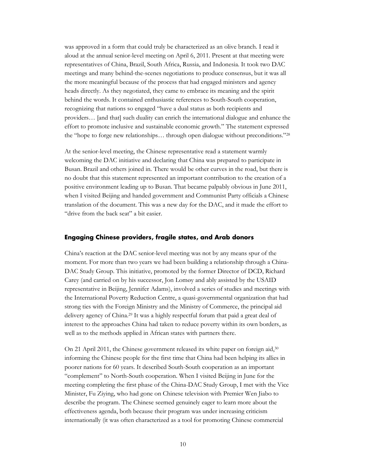was approved in a form that could truly be characterized as an olive branch. I read it aloud at the annual senior-level meeting on April 6, 2011. Present at that meeting were representatives of China, Brazil, South Africa, Russia, and Indonesia. It took two DAC meetings and many behind-the-scenes negotiations to produce consensus, but it was all the more meaningful because of the process that had engaged ministers and agency heads directly. As they negotiated, they came to embrace its meaning and the spirit behind the words. It contained enthusiastic references to South-South cooperation, recognizing that nations so engaged "have a dual status as both recipients and providers… [and that] such duality can enrich the international dialogue and enhance the effort to promote inclusive and sustainable economic growth." The statement expressed the "hope to forge new relationships… through open dialogue without preconditions."<sup>28</sup>

At the senior-level meeting, the Chinese representative read a statement warmly welcoming the DAC initiative and declaring that China was prepared to participate in Busan. Brazil and others joined in. There would be other curves in the road, but there is no doubt that this statement represented an important contribution to the creation of a positive environment leading up to Busan. That became palpably obvious in June 2011, when I visited Beijing and handed government and Communist Party officials a Chinese translation of the document. This was a new day for the DAC, and it made the effort to "drive from the back seat" a bit easier.

#### <span id="page-13-0"></span>**Engaging Chinese providers, fragile states, and Arab donors**

China's reaction at the DAC senior-level meeting was not by any means spur of the moment. For more than two years we had been building a relationship through a China-DAC Study Group. This initiative, promoted by the former Director of DCD, Richard Carey (and carried on by his successor, Jon Lomøy and ably assisted by the USAID representative in Beijing, Jennifer Adams), involved a series of studies and meetings with the International Poverty Reduction Centre, a quasi-governmental organization that had strong ties with the Foreign Ministry and the Ministry of Commerce, the principal aid delivery agency of China. <sup>29</sup> It was a highly respectful forum that paid a great deal of interest to the approaches China had taken to reduce poverty within its own borders, as well as to the methods applied in African states with partners there.

On 21 April 2011, the Chinese government released its white paper on foreign aid,<sup>30</sup> informing the Chinese people for the first time that China had been helping its allies in poorer nations for 60 years. It described South-South cooperation as an important "complement" to North-South cooperation. When I visited Beijing in June for the meeting completing the first phase of the China-DAC Study Group, I met with the Vice Minister, Fu Ziying, who had gone on Chinese television with Premier Wen Jiabo to describe the program. The Chinese seemed genuinely eager to learn more about the effectiveness agenda, both because their program was under increasing criticism internationally (it was often characterized as a tool for promoting Chinese commercial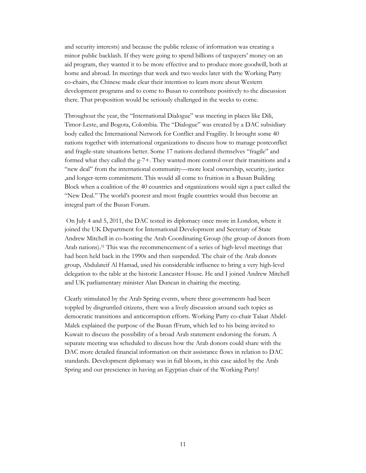and security interests) and because the public release of information was creating a minor public backlash. If they were going to spend billions of taxpayers' money on an aid program, they wanted it to be more effective and to produce more goodwill, both at home and abroad. In meetings that week and two weeks later with the Working Party co-chairs, the Chinese made clear their intention to learn more about Western development programs and to come to Busan to contribute positively to the discussion there. That proposition would be seriously challenged in the weeks to come.

Throughout the year, the "International Dialogue" was meeting in places like Dili, Timor-Leste, and Bogota, Colombia. The "Dialogue" was created by a DAC subsidiary body called the International Network for Conflict and Fragility. It brought some 40 nations together with international organizations to discuss how to manage postconflict and fragile-state situations better. Some 17 nations declared themselves "fragile" and formed what they called the g-7+. They wanted more control over their transitions and a "new deal" from the international community—more local ownership, security, justice ,and longer-term commitment. This would all come to fruition in a Busan Building Block when a coalition of the 40 countries and organizations would sign a pact called the "New Deal." The world's poorest and most fragile countries would thus become an integral part of the Busan Forum.

On July 4 and 5, 2011, the DAC tested its diplomacy once more in London, where it joined the UK Department for International Development and Secretary of State Andrew Mitchell in co-hosting the Arab Coordinating Group (the group of donors from Arab nations). <sup>31</sup> This was the recommencement of a series of high-level meetings that had been held back in the 1990s and then suspended. The chair of the Arab donors group, Abdulateif Al Hamad, used his considerable influence to bring a very high-level delegation to the table at the historic Lancaster House. He and I joined Andrew Mitchell and UK parliamentary minister Alan Duncan in chairing the meeting.

Clearly stimulated by the Arab Spring events, where three governments had been toppled by disgruntled citizens, there was a lively discussion around such topics as democratic transitions and anticorruption efforts. Working Party co-chair Talaat Abdel-Malek explained the purpose of the Busan fFrum, which led to his being invited to Kuwait to discuss the possibility of a broad Arab statement endorsing the forum. A separate meeting was scheduled to discuss how the Arab donors could share with the DAC more detailed financial information on their assistance flows in relation to DAC standards. Development diplomacy was in full bloom, in this case aided by the Arab Spring and our prescience in having an Egyptian chair of the Working Party!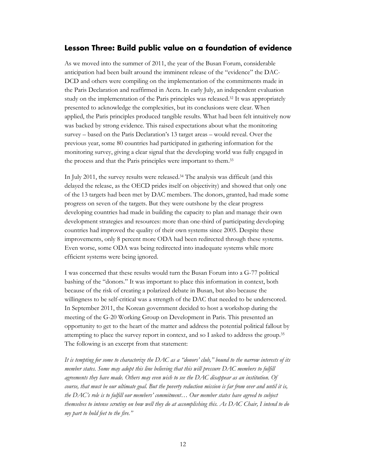### <span id="page-15-0"></span>**Lesson Three: Build public value on a foundation of evidence**

As we moved into the summer of 2011, the year of the Busan Forum, considerable anticipation had been built around the imminent release of the "evidence" the DAC-DCD and others were compiling on the implementation of the commitments made in the Paris Declaration and reaffirmed in Accra. In early July, an independent evaluation study on the implementation of the Paris principles was released.<sup>32</sup> It was appropriately presented to acknowledge the complexities, but its conclusions were clear. When applied, the Paris principles produced tangible results. What had been felt intuitively now was backed by strong evidence. This raised expectations about what the monitoring survey – based on the Paris Declaration's 13 target areas – would reveal. Over the previous year, some 80 countries had participated in gathering information for the monitoring survey, giving a clear signal that the developing world was fully engaged in the process and that the Paris principles were important to them. 33

In July 2011, the survey results were released. <sup>34</sup> The analysis was difficult (and this delayed the release, as the OECD prides itself on objectivity) and showed that only one of the 13 targets had been met by DAC members. The donors, granted, had made some progress on seven of the targets. But they were outshone by the clear progress developing countries had made in building the capacity to plan and manage their own development strategies and resources: more than one-third of participating developing countries had improved the quality of their own systems since 2005. Despite these improvements, only 8 percent more ODA had been redirected through these systems. Even worse, some ODA was being redirected into inadequate systems while more efficient systems were being ignored.

I was concerned that these results would turn the Busan Forum into a G-77 political bashing of the "donors." It was important to place this information in context, both because of the risk of creating a polarized debate in Busan, but also because the willingness to be self-critical was a strength of the DAC that needed to be underscored. In September 2011, the Korean government decided to host a workshop during the meeting of the G-20 Working Group on Development in Paris. This presented an opportunity to get to the heart of the matter and address the potential political fallout by attempting to place the survey report in context, and so I asked to address the group. 35 The following is an excerpt from that statement:

*It is tempting for some to characterize the DAC as a "donors' club," bound to the narrow interests of its member states. Some may adopt this line believing that this will pressure DAC members to fulfill agreements they have made. Others may even wish to see the DAC disappear as an institution. Of course, that must be our ultimate goal. But the poverty reduction mission is far from over and until it is, the DAC's role is to fulfill our members' commitment… Our member states have agreed to subject themselves to intense scrutiny on how well they do at accomplishing this. As DAC Chair, I intend to do my part to hold feet to the fire."*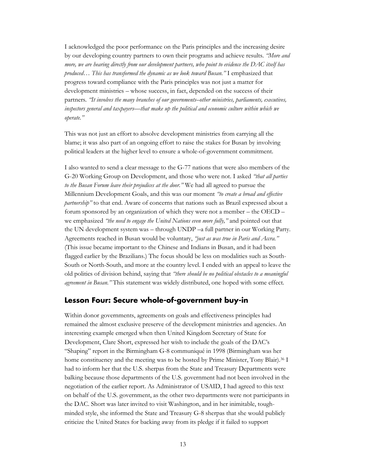I acknowledged the poor performance on the Paris principles and the increasing desire by our developing country partners to own their programs and achieve results. *"More and more, we are hearing directly from our development partners, who point to evidence the DAC itself has produced… This has transformed the dynamic as we look toward Busan."* I emphasized that progress toward compliance with the Paris principles was not just a matter for development ministries – whose success, in fact, depended on the success of their partners*. "It involves the many branches of our governments–other ministries, parliaments, executives, inspectors general and taxpayers—that make up the political and economic culture within which we operate."* 

This was not just an effort to absolve development ministries from carrying all the blame; it was also part of an ongoing effort to raise the stakes for Busan by involving political leaders at the higher level to ensure a whole-of-government commitment.

I also wanted to send a clear message to the G-77 nations that were also members of the G-20 Working Group on Development, and those who were not. I asked *"that all parties to the Busan Forum leave their prejudices at the door."* We had all agreed to pursue the Millennium Development Goals, and this was our moment *"to create a broad and effective partnership*" to that end. Aware of concerns that nations such as Brazil expressed about a forum sponsored by an organization of which they were not a member – the OECD – we emphasized *"the need to engage the United Nations even more fully,"* and pointed out that the UN development system was – through UNDP –a full partner in our Working Party. Agreements reached in Busan would be voluntary, *"just as was true in Paris and Accra."* (This issue became important to the Chinese and Indians in Busan, and it had been flagged earlier by the Brazilians.) The focus should be less on modalities such as South-South or North-South, and more at the country level. I ended with an appeal to leave the old politics of division behind, saying that *"there should be no political obstacles to a meaningful agreement in Busan."* This statement was widely distributed, one hoped with some effect.

### <span id="page-16-0"></span>**Lesson Four: Secure whole-of-government buy-in**

Within donor governments, agreements on goals and effectiveness principles had remained the almost exclusive preserve of the development ministries and agencies. An interesting example emerged when then United Kingdom Secretary of State for Development, Clare Short, expressed her wish to include the goals of the DAC's "Shaping" report in the Birmingham G-8 communiqué in 1998 (Birmingham was her home constituency and the meeting was to be hosted by Prime Minister, Tony Blair).<sup>36</sup> I had to inform her that the U.S. sherpas from the State and Treasury Departments were balking because those departments of the U.S. government had not been involved in the negotiation of the earlier report. As Administrator of USAID, I had agreed to this text on behalf of the U.S. government, as the other two departments were not participants in the DAC. Short was later invited to visit Washington, and in her inimitable, toughminded style, she informed the State and Treasury G-8 sherpas that she would publicly criticize the United States for backing away from its pledge if it failed to support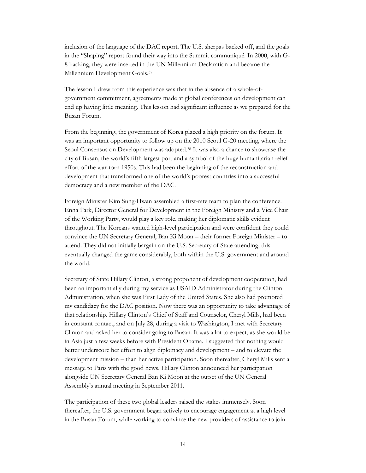inclusion of the language of the DAC report. The U.S. sherpas backed off, and the goals in the "Shaping" report found their way into the Summit communiqué. In 2000, with G-8 backing, they were inserted in the UN Millennium Declaration and became the Millennium Development Goals.<sup>37</sup>

The lesson I drew from this experience was that in the absence of a whole-ofgovernment commitment, agreements made at global conferences on development can end up having little meaning. This lesson had significant influence as we prepared for the Busan Forum.

From the beginning, the government of Korea placed a high priority on the forum. It was an important opportunity to follow up on the 2010 Seoul G-20 meeting, where the Seoul Consensus on Development was adopted.<sup>38</sup> It was also a chance to showcase the city of Busan, the world's fifth largest port and a symbol of the huge humanitarian relief effort of the war-torn 1950s. This had been the beginning of the reconstruction and development that transformed one of the world's poorest countries into a successful democracy and a new member of the DAC.

Foreign Minister Kim Sung-Hwan assembled a first-rate team to plan the conference. Enna Park, Director General for Development in the Foreign Ministry and a Vice Chair of the Working Party, would play a key role, making her diplomatic skills evident throughout. The Koreans wanted high-level participation and were confident they could convince the UN Secretary General, Ban Ki Moon – their former Foreign Minister – to attend. They did not initially bargain on the U.S. Secretary of State attending; this eventually changed the game considerably, both within the U.S. government and around the world.

Secretary of State Hillary Clinton, a strong proponent of development cooperation, had been an important ally during my service as USAID Administrator during the Clinton Administration, when she was First Lady of the United States. She also had promoted my candidacy for the DAC position. Now there was an opportunity to take advantage of that relationship. Hillary Clinton's Chief of Staff and Counselor, Cheryl Mills, had been in constant contact, and on July 28, during a visit to Washington, I met with Secretary Clinton and asked her to consider going to Busan. It was a lot to expect, as she would be in Asia just a few weeks before with President Obama. I suggested that nothing would better underscore her effort to align diplomacy and development – and to elevate the development mission – than her active participation. Soon thereafter, Cheryl Mills sent a message to Paris with the good news. Hillary Clinton announced her participation alongside UN Secretary General Ban Ki Moon at the outset of the UN General Assembly's annual meeting in September 2011.

The participation of these two global leaders raised the stakes immensely. Soon thereafter, the U.S. government began actively to encourage engagement at a high level in the Busan Forum, while working to convince the new providers of assistance to join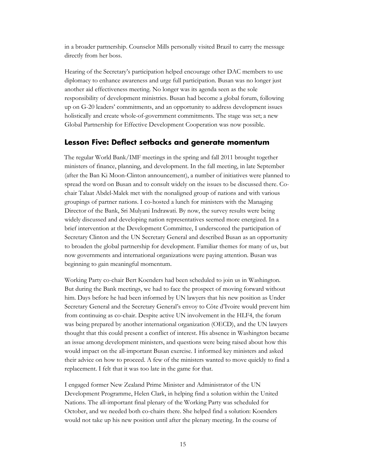in a broader partnership. Counselor Mills personally visited Brazil to carry the message directly from her boss.

Hearing of the Secretary's participation helped encourage other DAC members to use diplomacy to enhance awareness and urge full participation. Busan was no longer just another aid effectiveness meeting. No longer was its agenda seen as the sole responsibility of development ministries. Busan had become a global forum, following up on G-20 leaders' commitments, and an opportunity to address development issues holistically and create whole-of-government commitments. The stage was set; a new Global Partnership for Effective Development Cooperation was now possible.

### <span id="page-18-0"></span>**Lesson Five: Deflect setbacks and generate momentum**

The regular World Bank/IMF meetings in the spring and fall 2011 brought together ministers of finance, planning, and development. In the fall meeting, in late September (after the Ban Ki Moon-Clinton announcement), a number of initiatives were planned to spread the word on Busan and to consult widely on the issues to be discussed there. Cochair Talaat Abdel-Malek met with the nonaligned group of nations and with various groupings of partner nations. I co-hosted a lunch for ministers with the Managing Director of the Bank, Sri Mulyani Indrawati. By now, the survey results were being widely discussed and developing nation representatives seemed more energized. In a brief intervention at the Development Committee, I underscored the participation of Secretary Clinton and the UN Secretary General and described Busan as an opportunity to broaden the global partnership for development. Familiar themes for many of us, but now governments and international organizations were paying attention. Busan was beginning to gain meaningful momentum.

Working Party co-chair Bert Koenders had been scheduled to join us in Washington. But during the Bank meetings, we had to face the prospect of moving forward without him. Days before he had been informed by UN lawyers that his new position as Under Secretary General and the Secretary General's envoy to Côte d'Ivoire would prevent him from continuing as co-chair. Despite active UN involvement in the HLF4, the forum was being prepared by another international organization (OECD), and the UN lawyers thought that this could present a conflict of interest. His absence in Washington became an issue among development ministers, and questions were being raised about how this would impact on the all-important Busan exercise. I informed key ministers and asked their advice on how to proceed. A few of the ministers wanted to move quickly to find a replacement. I felt that it was too late in the game for that.

I engaged former New Zealand Prime Minister and Administrator of the UN Development Programme, Helen Clark, in helping find a solution within the United Nations. The all-important final plenary of the Working Party was scheduled for October, and we needed both co-chairs there. She helped find a solution: Koenders would not take up his new position until after the plenary meeting. In the course of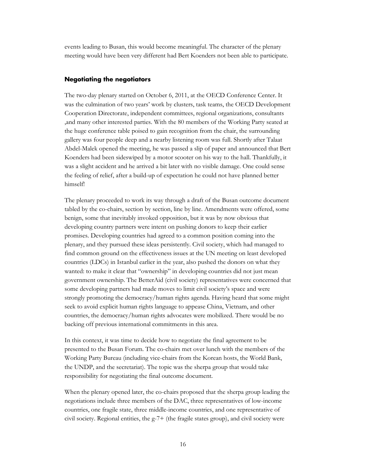events leading to Busan, this would become meaningful. The character of the plenary meeting would have been very different had Bert Koenders not been able to participate.

#### <span id="page-19-0"></span>**Negotiating the negotiators**

The two-day plenary started on October 6, 2011, at the OECD Conference Center. It was the culmination of two years' work by clusters, task teams, the OECD Development Cooperation Directorate, independent committees, regional organizations, consultants ,and many other interested parties. With the 80 members of the Working Party seated at the huge conference table poised to gain recognition from the chair, the surrounding gallery was four people deep and a nearby listening room was full. Shortly after Talaat Abdel-Malek opened the meeting, he was passed a slip of paper and announced that Bert Koenders had been sideswiped by a motor scooter on his way to the hall. Thankfully, it was a slight accident and he arrived a bit later with no visible damage. One could sense the feeling of relief, after a build-up of expectation he could not have planned better himself!

The plenary proceeded to work its way through a draft of the Busan outcome document tabled by the co-chairs, section by section, line by line. Amendments were offered, some benign, some that inevitably invoked opposition, but it was by now obvious that developing country partners were intent on pushing donors to keep their earlier promises. Developing countries had agreed to a common position coming into the plenary, and they pursued these ideas persistently. Civil society, which had managed to find common ground on the effectiveness issues at the UN meeting on least developed countries (LDCs) in Istanbul earlier in the year, also pushed the donors on what they wanted: to make it clear that "ownership" in developing countries did not just mean government ownership. The BetterAid (civil society) representatives were concerned that some developing partners had made moves to limit civil society's space and were strongly promoting the democracy/human rights agenda. Having heard that some might seek to avoid explicit human rights language to appease China, Vietnam, and other countries, the democracy/human rights advocates were mobilized. There would be no backing off previous international commitments in this area.

In this context, it was time to decide how to negotiate the final agreement to be presented to the Busan Forum. The co-chairs met over lunch with the members of the Working Party Bureau (including vice-chairs from the Korean hosts, the World Bank, the UNDP, and the secretariat). The topic was the sherpa group that would take responsibility for negotiating the final outcome document.

When the plenary opened later, the co-chairs proposed that the sherpa group leading the negotiations include three members of the DAC, three representatives of low-income countries, one fragile state, three middle-income countries, and one representative of civil society. Regional entities, the g-7+ (the fragile states group), and civil society were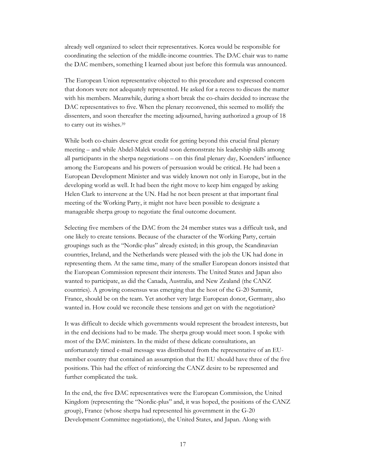already well organized to select their representatives. Korea would be responsible for coordinating the selection of the middle-income countries. The DAC chair was to name the DAC members, something I learned about just before this formula was announced.

The European Union representative objected to this procedure and expressed concern that donors were not adequately represented. He asked for a recess to discuss the matter with his members. Meanwhile, during a short break the co-chairs decided to increase the DAC representatives to five. When the plenary reconvened, this seemed to mollify the dissenters, and soon thereafter the meeting adjourned, having authorized a group of 18 to carry out its wishes.<sup>39</sup>

While both co-chairs deserve great credit for getting beyond this crucial final plenary meeting – and while Abdel-Malek would soon demonstrate his leadership skills among all participants in the sherpa negotiations – on this final plenary day, Koenders' influence among the Europeans and his powers of persuasion would be critical. He had been a European Development Minister and was widely known not only in Europe, but in the developing world as well. It had been the right move to keep him engaged by asking Helen Clark to intervene at the UN. Had he not been present at that important final meeting of the Working Party, it might not have been possible to designate a manageable sherpa group to negotiate the final outcome document.

Selecting five members of the DAC from the 24 member states was a difficult task, and one likely to create tensions. Because of the character of the Working Party, certain groupings such as the "Nordic-plus" already existed; in this group, the Scandinavian countries, Ireland, and the Netherlands were pleased with the job the UK had done in representing them. At the same time, many of the smaller European donors insisted that the European Commission represent their interests. The United States and Japan also wanted to participate, as did the Canada, Australia, and New Zealand (the CANZ countries). A growing consensus was emerging that the host of the G-20 Summit, France, should be on the team. Yet another very large European donor, Germany, also wanted in. How could we reconcile these tensions and get on with the negotiation?

It was difficult to decide which governments would represent the broadest interests, but in the end decisions had to be made. The sherpa group would meet soon. I spoke with most of the DAC ministers. In the midst of these delicate consultations, an unfortunately timed e-mail message was distributed from the representative of an EUmember country that contained an assumption that the EU should have three of the five positions. This had the effect of reinforcing the CANZ desire to be represented and further complicated the task.

In the end, the five DAC representatives were the European Commission, the United Kingdom (representing the "Nordic-plus" and, it was hoped, the positions of the CANZ group), France (whose sherpa had represented his government in the G-20 Development Committee negotiations), the United States, and Japan. Along with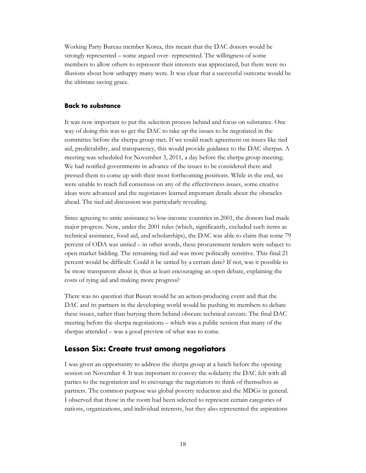Working Party Bureau member Korea, this meant that the DAC donors would be strongly represented – some argued over- represented. The willingness of some members to allow others to represent their interests was appreciated, but there were no illusions about how unhappy many were. It was clear that a successful outcome would be the ultimate saving grace.

#### <span id="page-21-0"></span>**Back to substance**

It was now important to put the selection process behind and focus on substance. One way of doing this was to get the DAC to take up the issues to be negotiated in the committee before the sherpa group met. If we could reach agreement on issues like tied aid, predictability, and transparency, this would provide guidance to the DAC sherpas. A meeting was scheduled for November 3, 2011, a day before the sherpa group meeting. We had notified governments in advance of the issues to be considered there and pressed them to come up with their most forthcoming positions. While in the end, we were unable to reach full consensus on any of the effectiveness issues, some creative ideas were advanced and the negotiators learned important details about the obstacles ahead. The tied aid discussion was particularly revealing.

Since agreeing to untie assistance to low-income countries in 2001, the donors had made major progress. Now, under the 2001 rules (which, significantly, excluded such items as technical assistance, food aid, and scholarships), the DAC was able to claim that some 79 percent of ODA was untied – in other words, these procurement tenders were subject to open market bidding. The remaining tied aid was more politically sensitive. This final 21 percent would be difficult: Could it be untied by a certain date? If not, was it possible to be more transparent about it, thus at least encouraging an open debate, explaining the costs of tying aid and making more progress?

There was no question that Busan would be an action-producing event and that the DAC and its partners in the developing world would be pushing its members to debate these issues, rather than burying them behind obscure technical caveats. The final DAC meeting before the sherpa negotiations – which was a public session that many of the sherpas attended – was a good preview of what was to come.

### <span id="page-21-1"></span>**Lesson Six: Create trust among negotiators**

I was given an opportunity to address the sherpa group at a lunch before the opening session on November 4. It was important to convey the solidarity the DAC felt with all parties to the negotiation and to encourage the negotiators to think of themselves as partners. The common purpose was global poverty reduction and the MDGs in general. I observed that those in the room had been selected to represent certain categories of nations, organizations, and individual interests, but they also represented the aspirations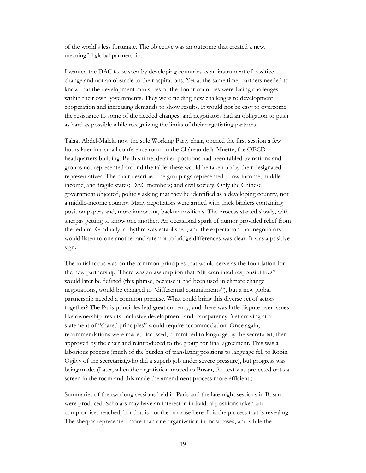of the world's less fortunate. The objective was an outcome that created a new, meaningful global partnership.

I wanted the DAC to be seen by developing countries as an instrument of positive change and not an obstacle to their aspirations. Yet at the same time, partners needed to know that the development ministries of the donor countries were facing challenges within their own governments. They were fielding new challenges to development cooperation and increasing demands to show results. It would not be easy to overcome the resistance to some of the needed changes, and negotiators had an obligation to push as hard as possible while recognizing the limits of their negotiating partners.

Talaat Abdel-Malek, now the sole Working Party chair, opened the first session a few hours later in a small conference room in the Château de la Muette, the OECD headquarters building. By this time, detailed positions had been tabled by nations and groups not represented around the table; these would be taken up by their designated representatives. The chair described the groupings represented—low-income, middleincome, and fragile states; DAC members; and civil society. Only the Chinese government objected, politely asking that they be identified as a developing country, not a middle-income country. Many negotiators were armed with thick binders containing position papers and, more important, backup positions. The process started slowly, with sherpas getting to know one another. An occasional spark of humor provided relief from the tedium. Gradually, a rhythm was established, and the expectation that negotiators would listen to one another and attempt to bridge differences was clear. It was a positive sign.

The initial focus was on the common principles that would serve as the foundation for the new partnership. There was an assumption that "differentiated responsibilities" would later be defined (this phrase, because it had been used in climate change negotiations, would be changed to "differential commitments"), but a new global partnership needed a common premise. What could bring this diverse set of actors together? The Paris principles had great currency, and there was little dispute over issues like ownership, results, inclusive development, and transparency. Yet arriving at a statement of "shared principles" would require accommodation. Once again, recommendations were made, discussed, committed to language by the secretariat, then approved by the chair and reintroduced to the group for final agreement. This was a laborious process (much of the burden of translating positions to language fell to Robin Ogilvy of the secretariat,who did a superb job under severe pressure), but progress was being made. (Later, when the negotiation moved to Busan, the text was projected onto a screen in the room and this made the amendment process more efficient.)

Summaries of the two long sessions held in Paris and the late-night sessions in Busan were produced. Scholars may have an interest in individual positions taken and compromises reached, but that is not the purpose here. It is the process that is revealing. The sherpas represented more than one organization in most cases, and while the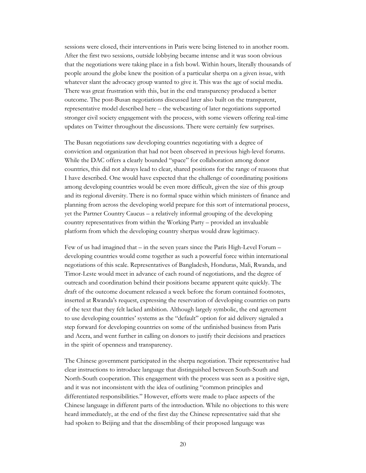sessions were closed, their interventions in Paris were being listened to in another room. After the first two sessions, outside lobbying became intense and it was soon obvious that the negotiations were taking place in a fish bowl. Within hours, literally thousands of people around the globe knew the position of a particular sherpa on a given issue, with whatever slant the advocacy group wanted to give it. This was the age of social media. There was great frustration with this, but in the end transparency produced a better outcome. The post-Busan negotiations discussed later also built on the transparent, representative model described here – the webcasting of later negotiations supported stronger civil society engagement with the process, with some viewers offering real-time updates on Twitter throughout the discussions. There were certainly few surprises.

The Busan negotiations saw developing countries negotiating with a degree of conviction and organization that had not been observed in previous high-level forums. While the DAC offers a clearly bounded "space" for collaboration among donor countries, this did not always lead to clear, shared positions for the range of reasons that I have described. One would have expected that the challenge of coordinating positions among developing countries would be even more difficult, given the size of this group and its regional diversity. There is no formal space within which ministers of finance and planning from across the developing world prepare for this sort of international process, yet the Partner Country Caucus – a relatively informal grouping of the developing country representatives from within the Working Party – provided an invaluable platform from which the developing country sherpas would draw legitimacy.

Few of us had imagined that – in the seven years since the Paris High-Level Forum – developing countries would come together as such a powerful force within international negotiations of this scale. Representatives of Bangladesh, Honduras, Mali, Rwanda, and Timor-Leste would meet in advance of each round of negotiations, and the degree of outreach and coordination behind their positions became apparent quite quickly. The draft of the outcome document released a week before the forum contained footnotes, inserted at Rwanda's request, expressing the reservation of developing countries on parts of the text that they felt lacked ambition. Although largely symbolic, the end agreement to use developing countries' systems as the "default" option for aid delivery signaled a step forward for developing countries on some of the unfinished business from Paris and Accra, and went further in calling on donors to justify their decisions and practices in the spirit of openness and transparency.

The Chinese government participated in the sherpa negotiation. Their representative had clear instructions to introduce language that distinguished between South-South and North-South cooperation. This engagement with the process was seen as a positive sign, and it was not inconsistent with the idea of outlining "common principles and differentiated responsibilities." However, efforts were made to place aspects of the Chinese language in different parts of the introduction. While no objections to this were heard immediately, at the end of the first day the Chinese representative said that she had spoken to Beijing and that the dissembling of their proposed language was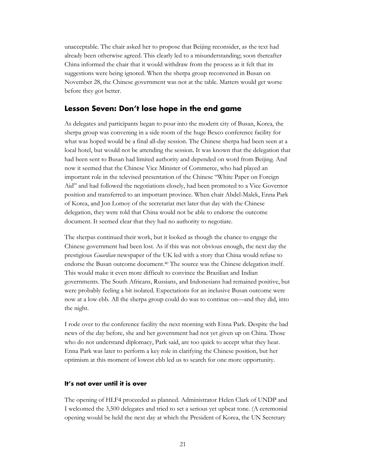unacceptable. The chair asked her to propose that Beijing reconsider, as the text had already been otherwise agreed. This clearly led to a misunderstanding; soon thereafter China informed the chair that it would withdraw from the process as it felt that its suggestions were being ignored. When the sherpa group reconvened in Busan on November 28, the Chinese government was not at the table. Matters would get worse before they got better.

## <span id="page-24-0"></span>**Lesson Seven: Don't lose hope in the end game**

As delegates and participants began to pour into the modern city of Busan, Korea, the sherpa group was convening in a side room of the huge Bexco conference facility for what was hoped would be a final all-day session. The Chinese sherpa had been seen at a local hotel, but would not be attending the session. It was known that the delegation that had been sent to Busan had limited authority and depended on word from Beijing. And now it seemed that the Chinese Vice Minister of Commerce, who had played an important role in the televised presentation of the Chinese "White Paper on Foreign Aid" and had followed the negotiations closely, had been promoted to a Vice Governor position and transferred to an important province. When chair Abdel-Malek, Enna Park of Korea, and Jon Lomoy of the secretariat met later that day with the Chinese delegation, they were told that China would not be able to endorse the outcome document. It seemed clear that they had no authority to negotiate.

The sherpas continued their work, but it looked as though the chance to engage the Chinese government had been lost. As if this was not obvious enough, the next day the prestigious *Guardian* newspaper of the UK led with a story that China would refuse to endorse the Busan outcome document. <sup>40</sup> The source was the Chinese delegation itself. This would make it even more difficult to convince the Brazilian and Indian governments. The South Africans, Russians, and Indonesians had remained positive, but were probably feeling a bit isolated. Expectations for an inclusive Busan outcome were now at a low ebb. All the sherpa group could do was to continue on—and they did, into the night.

I rode over to the conference facility the next morning with Enna Park. Despite the bad news of the day before, she and her government had not yet given up on China. Those who do not understand diplomacy, Park said, are too quick to accept what they hear. Enna Park was later to perform a key role in clarifying the Chinese position, but her optimism at this moment of lowest ebb led us to search for one more opportunity.

#### <span id="page-24-1"></span>**It's not over until it is over**

The opening of HLF4 proceeded as planned. Administrator Helen Clark of UNDP and I welcomed the 3,500 delegates and tried to set a serious yet upbeat tone. (A ceremonial opening would be held the next day at which the President of Korea, the UN Secretary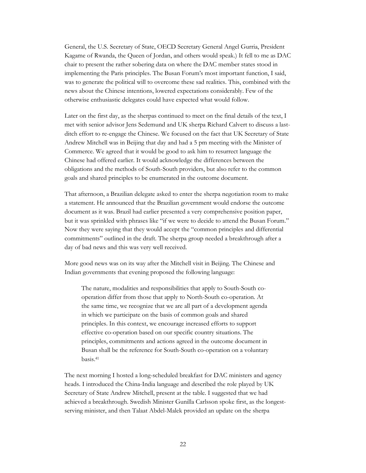General, the U.S. Secretary of State, OECD Secretary General Angel Gurria, President Kagame of Rwanda, the Queen of Jordan, and others would speak.) It fell to me as DAC chair to present the rather sobering data on where the DAC member states stood in implementing the Paris principles. The Busan Forum's most important function, I said, was to generate the political will to overcome these sad realities. This, combined with the news about the Chinese intentions, lowered expectations considerably. Few of the otherwise enthusiastic delegates could have expected what would follow.

Later on the first day, as the sherpas continued to meet on the final details of the text, I met with senior advisor Jens Sedemund and UK sherpa Richard Calvert to discuss a lastditch effort to re-engage the Chinese. We focused on the fact that UK Secretary of State Andrew Mitchell was in Beijing that day and had a 5 pm meeting with the Minister of Commerce. We agreed that it would be good to ask him to resurrect language the Chinese had offered earlier. It would acknowledge the differences between the obligations and the methods of South-South providers, but also refer to the common goals and shared principles to be enumerated in the outcome document.

That afternoon, a Brazilian delegate asked to enter the sherpa negotiation room to make a statement. He announced that the Brazilian government would endorse the outcome document as it was. Brazil had earlier presented a very comprehensive position paper, but it was sprinkled with phrases like "if we were to decide to attend the Busan Forum." Now they were saying that they would accept the "common principles and differential commitments" outlined in the draft. The sherpa group needed a breakthrough after a day of bad news and this was very well received.

More good news was on its way after the Mitchell visit in Beijing. The Chinese and Indian governments that evening proposed the following language:

The nature, modalities and responsibilities that apply to South-South cooperation differ from those that apply to North-South co-operation. At the same time, we recognize that we are all part of a development agenda in which we participate on the basis of common goals and shared principles. In this context, we encourage increased efforts to support effective co-operation based on our specific country situations. The principles, commitments and actions agreed in the outcome document in Busan shall be the reference for South-South co-operation on a voluntary basis.<sup>41</sup>

The next morning I hosted a long-scheduled breakfast for DAC ministers and agency heads. I introduced the China-India language and described the role played by UK Secretary of State Andrew Mitchell, present at the table. I suggested that we had achieved a breakthrough. Swedish Minister Gunilla Carlsson spoke first, as the longestserving minister, and then Talaat Abdel-Malek provided an update on the sherpa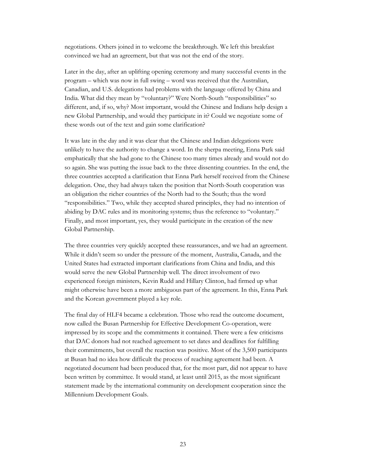negotiations. Others joined in to welcome the breakthrough. We left this breakfast convinced we had an agreement, but that was not the end of the story.

Later in the day, after an uplifting opening ceremony and many successful events in the program – which was now in full swing – word was received that the Australian, Canadian, and U.S. delegations had problems with the language offered by China and India. What did they mean by "voluntary?" Were North-South "responsibilities" so different, and, if so, why? Most important, would the Chinese and Indians help design a new Global Partnership, and would they participate in it? Could we negotiate some of these words out of the text and gain some clarification?

It was late in the day and it was clear that the Chinese and Indian delegations were unlikely to have the authority to change a word. In the sherpa meeting, Enna Park said emphatically that she had gone to the Chinese too many times already and would not do so again. She was putting the issue back to the three dissenting countries. In the end, the three countries accepted a clarification that Enna Park herself received from the Chinese delegation. One, they had always taken the position that North-South cooperation was an obligation the richer countries of the North had to the South; thus the word "responsibilities." Two, while they accepted shared principles, they had no intention of abiding by DAC rules and its monitoring systems; thus the reference to "voluntary." Finally, and most important, yes, they would participate in the creation of the new Global Partnership.

The three countries very quickly accepted these reassurances, and we had an agreement. While it didn't seem so under the pressure of the moment, Australia, Canada, and the United States had extracted important clarifications from China and India, and this would serve the new Global Partnership well. The direct involvement of two experienced foreign ministers, Kevin Rudd and Hillary Clinton, had firmed up what might otherwise have been a more ambiguous part of the agreement. In this, Enna Park and the Korean government played a key role.

The final day of HLF4 became a celebration. Those who read the outcome document, now called the Busan Partnership for Effective Development Co-operation, were impressed by its scope and the commitments it contained. There were a few criticisms that DAC donors had not reached agreement to set dates and deadlines for fulfilling their commitments, but overall the reaction was positive. Most of the 3,500 participants at Busan had no idea how difficult the process of reaching agreement had been. A negotiated document had been produced that, for the most part, did not appear to have been written by committee. It would stand, at least until 2015, as the most significant statement made by the international community on development cooperation since the Millennium Development Goals.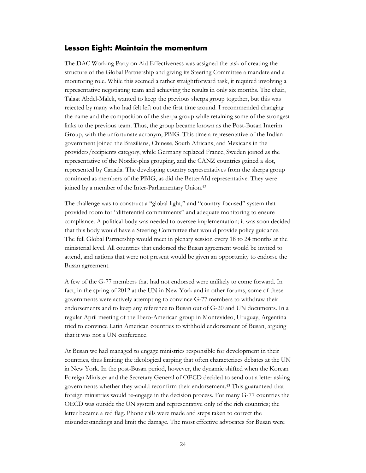#### <span id="page-27-0"></span>**Lesson Eight: Maintain the momentum**

The DAC Working Party on Aid Effectiveness was assigned the task of creating the structure of the Global Partnership and giving its Steering Committee a mandate and a monitoring role. While this seemed a rather straightforward task, it required involving a representative negotiating team and achieving the results in only six months. The chair, Talaat Abdel-Malek, wanted to keep the previous sherpa group together, but this was rejected by many who had felt left out the first time around. I recommended changing the name and the composition of the sherpa group while retaining some of the strongest links to the previous team. Thus, the group became known as the Post-Busan Interim Group, with the unfortunate acronym, PBIG. This time a representative of the Indian government joined the Brazilians, Chinese, South Africans, and Mexicans in the providers/recipients category, while Germany replaced France, Sweden joined as the representative of the Nordic-plus grouping, and the CANZ countries gained a slot, represented by Canada. The developing country representatives from the sherpa group continued as members of the PBIG, as did the BetterAId representative. They were joined by a member of the Inter-Parliamentary Union.<sup>42</sup>

The challenge was to construct a "global-light," and "country-focused" system that provided room for "differential commitments" and adequate monitoring to ensure compliance. A political body was needed to oversee implementation; it was soon decided that this body would have a Steering Committee that would provide policy guidance. The full Global Partnership would meet in plenary session every 18 to 24 months at the ministerial level. All countries that endorsed the Busan agreement would be invited to attend, and nations that were not present would be given an opportunity to endorse the Busan agreement.

A few of the G-77 members that had not endorsed were unlikely to come forward. In fact, in the spring of 2012 at the UN in New York and in other forums, some of these governments were actively attempting to convince G-77 members to withdraw their endorsements and to keep any reference to Busan out of G-20 and UN documents. In a regular April meeting of the Ibero-American group in Montevideo, Uruguay, Argentina tried to convince Latin American countries to withhold endorsement of Busan, arguing that it was not a UN conference.

At Busan we had managed to engage ministries responsible for development in their countries, thus limiting the ideological carping that often characterizes debates at the UN in New York. In the post-Busan period, however, the dynamic shifted when the Korean Foreign Minister and the Secretary General of OECD decided to send out a letter asking governments whether they would reconfirm their endorsement.<sup>43</sup> This guaranteed that foreign ministries would re-engage in the decision process. For many G-77 countries the OECD was outside the UN system and representative only of the rich countries; the letter became a red flag. Phone calls were made and steps taken to correct the misunderstandings and limit the damage. The most effective advocates for Busan were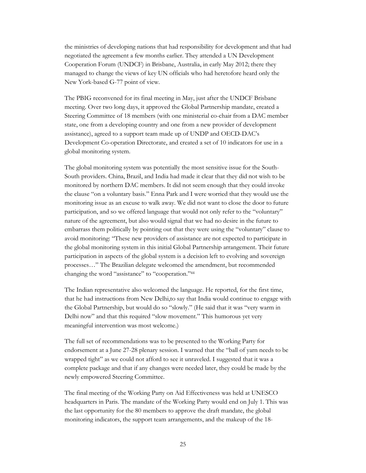the ministries of developing nations that had responsibility for development and that had negotiated the agreement a few months earlier. They attended a UN Development Cooperation Forum (UNDCF) in Brisbane, Australia, in early May 2012; there they managed to change the views of key UN officials who had heretofore heard only the New York-based G-77 point of view.

The PBIG reconvened for its final meeting in May, just after the UNDCF Brisbane meeting. Over two long days, it approved the Global Partnership mandate, created a Steering Committee of 18 members (with one ministerial co-chair from a DAC member state, one from a developing country and one from a new provider of development assistance), agreed to a support team made up of UNDP and OECD-DAC's Development Co-operation Directorate, and created a set of 10 indicators for use in a global monitoring system.

The global monitoring system was potentially the most sensitive issue for the South-South providers. China, Brazil, and India had made it clear that they did not wish to be monitored by northern DAC members. It did not seem enough that they could invoke the clause "on a voluntary basis." Enna Park and I were worried that they would use the monitoring issue as an excuse to walk away. We did not want to close the door to future participation, and so we offered language that would not only refer to the "voluntary" nature of the agreement, but also would signal that we had no desire in the future to embarrass them politically by pointing out that they were using the "voluntary" clause to avoid monitoring: "These new providers of assistance are not expected to participate in the global monitoring system in this initial Global Partnership arrangement. Their future participation in aspects of the global system is a decision left to evolving and sovereign processes…" The Brazilian delegate welcomed the amendment, but recommended changing the word "assistance" to "cooperation."<sup>44</sup>

The Indian representative also welcomed the language. He reported, for the first time, that he had instructions from New Delhi,to say that India would continue to engage with the Global Partnership, but would do so "slowly." (He said that it was "very warm in Delhi now" and that this required "slow movement." This humorous yet very meaningful intervention was most welcome.)

The full set of recommendations was to be presented to the Working Party for endorsement at a June 27-28 plenary session. I warned that the "ball of yarn needs to be wrapped tight" as we could not afford to see it unraveled. I suggested that it was a complete package and that if any changes were needed later, they could be made by the newly empowered Steering Committee.

The final meeting of the Working Party on Aid Effectiveness was held at UNESCO headquarters in Paris. The mandate of the Working Party would end on July 1. This was the last opportunity for the 80 members to approve the draft mandate, the global monitoring indicators, the support team arrangements, and the makeup of the 18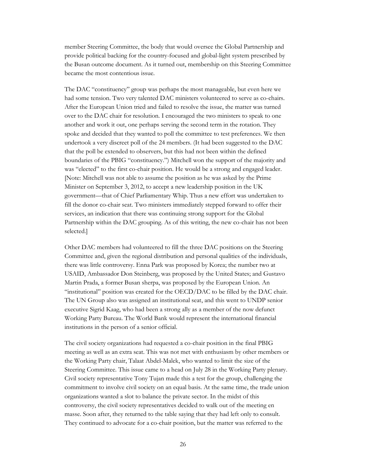member Steering Committee, the body that would oversee the Global Partnership and provide political backing for the country-focused and global-light system prescribed by the Busan outcome document. As it turned out, membership on this Steering Committee became the most contentious issue.

The DAC "constituency" group was perhaps the most manageable, but even here we had some tension. Two very talented DAC ministers volunteered to serve as co-chairs. After the European Union tried and failed to resolve the issue, the matter was turned over to the DAC chair for resolution. I encouraged the two ministers to speak to one another and work it out, one perhaps serving the second term in the rotation. They spoke and decided that they wanted to poll the committee to test preferences. We then undertook a very discreet poll of the 24 members. (It had been suggested to the DAC that the poll be extended to observers, but this had not been within the defined boundaries of the PBIG "constituency.") Mitchell won the support of the majority and was "elected" to the first co-chair position. He would be a strong and engaged leader. [Note: Mitchell was not able to assume the position as he was asked by the Prime Minister on September 3, 2012, to accept a new leadership position in the UK government—that of Chief Parliamentary Whip. Thus a new effort was undertaken to fill the donor co-chair seat. Two ministers immediately stepped forward to offer their services, an indication that there was continuing strong support for the Global Partnership within the DAC grouping. As of this writing, the new co-chair has not been selected.]

Other DAC members had volunteered to fill the three DAC positions on the Steering Committee and, given the regional distribution and personal qualities of the individuals, there was little controversy. Enna Park was proposed by Korea; the number two at USAID, Ambassador Don Steinberg, was proposed by the United States; and Gustavo Martin Prada, a former Busan sherpa, was proposed by the European Union. An "institutional" position was created for the OECD/DAC to be filled by the DAC chair. The UN Group also was assigned an institutional seat, and this went to UNDP senior executive Sigrid Kaag, who had been a strong ally as a member of the now defunct Working Party Bureau. The World Bank would represent the international financial institutions in the person of a senior official.

The civil society organizations had requested a co-chair position in the final PBIG meeting as well as an extra seat. This was not met with enthusiasm by other members or the Working Party chair, Talaat Abdel-Malek, who wanted to limit the size of the Steering Committee. This issue came to a head on July 28 in the Working Party plenary. Civil society representative Tony Tujan made this a test for the group, challenging the commitment to involve civil society on an equal basis. At the same time, the trade union organizations wanted a slot to balance the private sector. In the midst of this controversy, the civil society representatives decided to walk out of the meeting en masse. Soon after, they returned to the table saying that they had left only to consult. They continued to advocate for a co-chair position, but the matter was referred to the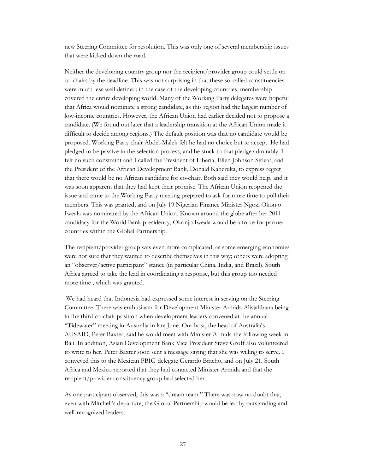new Steering Committee for resolution. This was only one of several membership issues that were kicked down the road.

Neither the developing country group nor the recipient/provider group could settle on co-chairs by the deadline. This was not surprising in that these so-called constituencies were much less well defined; in the case of the developing countries, membership covered the entire developing world. Many of the Working Party delegates were hopeful that Africa would nominate a strong candidate, as this region had the largest number of low-income countries. However, the African Union had earlier decided not to propose a candidate. (We found out later that a leadership transition at the African Union made it difficult to decide among regions.) The default position was that no candidate would be proposed. Working Party chair Abdel-Malek felt he had no choice but to accept. He had pledged to be passive in the selection process, and he stuck to that pledge admirably. I felt no such constraint and I called the President of Liberia, Ellen Johnson Sirleaf, and the President of the African Development Bank, Donald Kaberuka, to express regret that there would be no African candidate for co-chair. Both said they would help, and it was soon apparent that they had kept their promise. The African Union reopened the issue and came to the Working Party meeting prepared to ask for more time to poll their members. This was granted, and on July 19 Nigerian Finance Minister Ngozi Okonjo Iweala was nominated by the African Union. Known around the globe after her 2011 candidacy for the World Bank presidency, Okonjo Iweala would be a force for partner countries within the Global Partnership.

The recipient/provider group was even more complicated, as some emerging economies were not sure that they wanted to describe themselves in this way; others were adopting an "observer/active participant" stance (in particular China, India, and Brazil). South Africa agreed to take the lead in coordinating a response, but this group too needed more time , which was granted.

We had heard that Indonesia had expressed some interest in serving on the Steering Committee. There was enthusiasm for Development Minister Armida Alisjahbana being in the third co-chair position when development leaders convened at the annual "Tidewater" meeting in Australia in late June. Our host, the head of Australia's AUSAID, Peter Baxter, said he would meet with Minister Armida the following week in Bali. In addition, Asian Development Bank Vice President Steve Groff also volunteered to write to her. Peter Baxter soon sent a message saying that she was willing to serve. I conveyed this to the Mexican PBIG delegate Gerardo Bracho, and on July 21, South Africa and Mexico reported that they had contacted Minister Armida and that the recipient/provider constituency group had selected her.

As one participant observed, this was a "dream team." There was now no doubt that, even with Mitchell's departure, the Global Partnership would be led by outstanding and well-recognized leaders.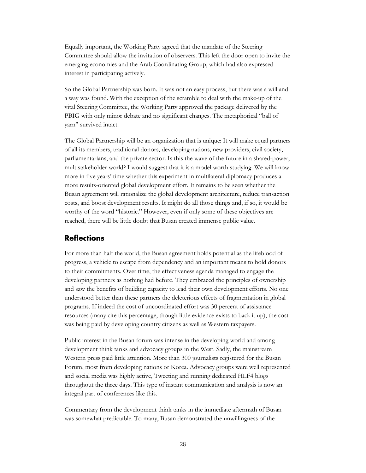Equally important, the Working Party agreed that the mandate of the Steering Committee should allow the invitation of observers. This left the door open to invite the emerging economies and the Arab Coordinating Group, which had also expressed interest in participating actively.

So the Global Partnership was born. It was not an easy process, but there was a will and a way was found. With the exception of the scramble to deal with the make-up of the vital Steering Committee, the Working Party approved the package delivered by the PBIG with only minor debate and no significant changes. The metaphorical "ball of yarn" survived intact.

The Global Partnership will be an organization that is unique: It will make equal partners of all its members, traditional donors, developing nations, new providers, civil society, parliamentarians, and the private sector. Is this the wave of the future in a shared-power, multistakeholder world? I would suggest that it is a model worth studying. We will know more in five years' time whether this experiment in multilateral diplomacy produces a more results-oriented global development effort. It remains to be seen whether the Busan agreement will rationalize the global development architecture, reduce transaction costs, and boost development results. It might do all those things and, if so, it would be worthy of the word "historic." However, even if only some of these objectives are reached, there will be little doubt that Busan created immense public value.

## <span id="page-31-0"></span>**Reflections**

For more than half the world, the Busan agreement holds potential as the lifeblood of progress, a vehicle to escape from dependency and an important means to hold donors to their commitments. Over time, the effectiveness agenda managed to engage the developing partners as nothing had before. They embraced the principles of ownership and saw the benefits of building capacity to lead their own development efforts. No one understood better than these partners the deleterious effects of fragmentation in global programs. If indeed the cost of uncoordinated effort was 30 percent of assistance resources (many cite this percentage, though little evidence exists to back it up), the cost was being paid by developing country citizens as well as Western taxpayers.

Public interest in the Busan forum was intense in the developing world and among development think tanks and advocacy groups in the West. Sadly, the mainstream Western press paid little attention. More than 300 journalists registered for the Busan Forum, most from developing nations or Korea. Advocacy groups were well represented and social media was highly active, Tweeting and running dedicated HLF4 blogs throughout the three days. This type of instant communication and analysis is now an integral part of conferences like this.

Commentary from the development think tanks in the immediate aftermath of Busan was somewhat predictable. To many, Busan demonstrated the unwillingness of the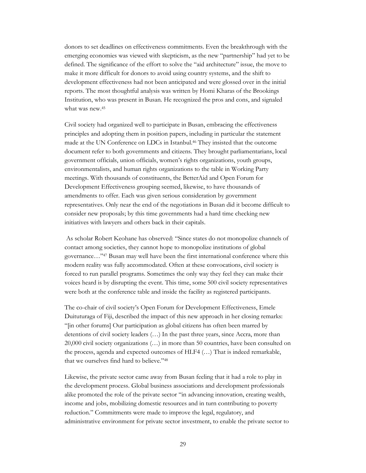donors to set deadlines on effectiveness commitments. Even the breakthrough with the emerging economies was viewed with skepticism, as the new "partnership" had yet to be defined. The significance of the effort to solve the "aid architecture" issue, the move to make it more difficult for donors to avoid using country systems, and the shift to development effectiveness had not been anticipated and were glossed over in the initial reports. The most thoughtful analysis was written by Homi Kharas of the Brookings Institution, who was present in Busan. He recognized the pros and cons, and signaled what was new.<sup>45</sup>

Civil society had organized well to participate in Busan, embracing the effectiveness principles and adopting them in position papers, including in particular the statement made at the UN Conference on LDCs in Istanbul.<sup>46</sup> They insisted that the outcome document refer to both governments and citizens. They brought parliamentarians, local government officials, union officials, women's rights organizations, youth groups, environmentalists, and human rights organizations to the table in Working Party meetings. With thousands of constituents, the BetterAid and Open Forum for Development Effectiveness grouping seemed, likewise, to have thousands of amendments to offer. Each was given serious consideration by government representatives. Only near the end of the negotiations in Busan did it become difficult to consider new proposals; by this time governments had a hard time checking new initiatives with lawyers and others back in their capitals.

As scholar Robert Keohane has observed: "Since states do not monopolize channels of contact among societies, they cannot hope to monopolize institutions of global governance…"<sup>47</sup> Busan may well have been the first international conference where this modern reality was fully accommodated. Often at these convocations, civil society is forced to run parallel programs. Sometimes the only way they feel they can make their voices heard is by disrupting the event. This time, some 500 civil society representatives were both at the conference table and inside the facility as registered participants.

The co-chair of civil society's Open Forum for Development Effectiveness, Emele Duituturaga of Fiji, described the impact of this new approach in her closing remarks: "[in other forums] Our participation as global citizens has often been marred by detentions of civil society leaders (…) In the past three years, since Accra, more than 20,000 civil society organizations (…) in more than 50 countries, have been consulted on the process, agenda and expected outcomes of HLF4 (…) That is indeed remarkable, that we ourselves find hard to believe."<sup>48</sup>

Likewise, the private sector came away from Busan feeling that it had a role to play in the development process. Global business associations and development professionals alike promoted the role of the private sector "in advancing innovation, creating wealth, income and jobs, mobilizing domestic resources and in turn contributing to poverty reduction." Commitments were made to improve the legal, regulatory, and administrative environment for private sector investment, to enable the private sector to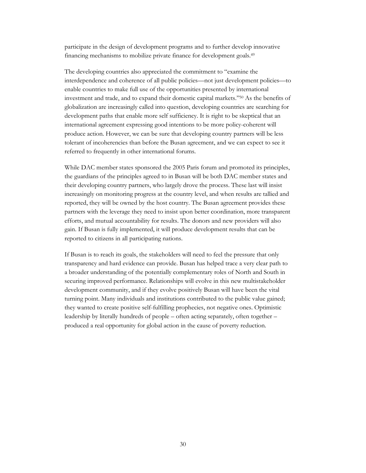participate in the design of development programs and to further develop innovative financing mechanisms to mobilize private finance for development goals.<sup>49</sup>

The developing countries also appreciated the commitment to "examine the interdependence and coherence of all public policies—not just development policies—to enable countries to make full use of the opportunities presented by international investment and trade, and to expand their domestic capital markets."<sup>50</sup> As the benefits of globalization are increasingly called into question, developing countries are searching for development paths that enable more self sufficiency. It is right to be skeptical that an international agreement expressing good intentions to be more policy-coherent will produce action. However, we can be sure that developing country partners will be less tolerant of incoherencies than before the Busan agreement, and we can expect to see it referred to frequently in other international forums.

While DAC member states sponsored the 2005 Paris forum and promoted its principles, the guardians of the principles agreed to in Busan will be both DAC member states and their developing country partners, who largely drove the process. These last will insist increasingly on monitoring progress at the country level, and when results are tallied and reported, they will be owned by the host country. The Busan agreement provides these partners with the leverage they need to insist upon better coordination, more transparent efforts, and mutual accountability for results. The donors and new providers will also gain. If Busan is fully implemented, it will produce development results that can be reported to citizens in all participating nations.

If Busan is to reach its goals, the stakeholders will need to feel the pressure that only transparency and hard evidence can provide. Busan has helped trace a very clear path to a broader understanding of the potentially complementary roles of North and South in securing improved performance. Relationships will evolve in this new multistakeholder development community, and if they evolve positively Busan will have been the vital turning point. Many individuals and institutions contributed to the public value gained; they wanted to create positive self-fulfilling prophecies, not negative ones. Optimistic leadership by literally hundreds of people – often acting separately, often together – produced a real opportunity for global action in the cause of poverty reduction.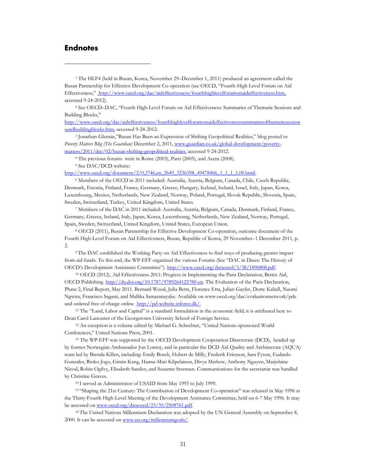### <span id="page-34-0"></span>**Endnotes**

 $\overline{a}$ 

<sup>1</sup> The HLF4 (held in Busan, Korea, November 29–December 1, 2011) produced an agreement called the Busan Partnership for Effective Development Co-operation (see OECD, "Fourth-High Level Forum on Aid Effectiveness," <http://www.oecd.org/dac/aideffectiveness/fourthhighlevelforumonaideffectiveness.htm,> accessed 9-24-2012).

<sup>2</sup> See OECD–DAC, "Fourth High-Level Forum on Aid Effectiveness: Summaries of Thematic Sessions and Building Blocks,"

[http://www.oecd.org/dac/aideffectiveness/fourthhighlevelforumonaideffectivenesssummariesofthematicsession](http://www.oecd.org/dac/aideffectiveness/fourthhighlevelforumonaideffectivenesssummariesofthematicsessionsandbuildingblocks.htm) [sandbuildingblocks.htm,](http://www.oecd.org/dac/aideffectiveness/fourthhighlevelforumonaideffectivenesssummariesofthematicsessionsandbuildingblocks.htm) accessed 9-24-2012.

<sup>3</sup> Jonathan Glennie,"Busan Has Been an Expression of Shifting Geopolitical Realities," blog posted to *Poverty Matters Blog (The Guardian)* December 2, 2011, [www.guardian.co.uk/global-development/poverty](http://www.guardian.co.uk/global-development/poverty-matters/2011/dec/02/busan-shifting-geopolitical-realities)[matters/2011/dec/02/busan-shifting-geopolitical-realities,](http://www.guardian.co.uk/global-development/poverty-matters/2011/dec/02/busan-shifting-geopolitical-realities) accessed 9-24-2012.

<sup>4</sup> The previous forums were in Rome (2003), Paris (2005), and Accra (2008).

<sup>5</sup> See DAC/DCD website:

http://www.oecd.org/document/2/0,3746,en\_2649\_3236398\_49478466\_1\_1\_1\_1,00.html.

<sup>6</sup> Members of the OECD in 2011 included: [Australia,](http://www.oecd.org/country/0,3731,en_33873108_33873229_1_1_1_1_1,00.html) [Austria,](http://www.oecd.org/country/0,3731,en_33873108_33873245_1_1_1_1_1,00.html) [Belgium,](http://www.oecd.org/country/0,3731,en_33873108_33873261_1_1_1_1_1,00.html) [Canada,](http://www.oecd.org/country/0,3731,en_33873108_33873277_1_1_1_1_1,00.html) [Chile,](http://www.oecd.org/country/0,3731,en_33873108_39418658_1_1_1_1_1,00.html) [Czech Republic,](http://www.oecd.org/country/0,3731,en_33873108_33873293_1_1_1_1_1,00.html)  [Denmark,](http://www.oecd.org/country/0,3731,en_33873108_33873309_1_1_1_1_1,00.html) [Estonia,](http://www.oecd.org/country/0,3731,en_33873108_39418677_1_1_1_1_1,00.html) [Finland,](http://www.oecd.org/country/0,3731,en_33873108_33873360_1_1_1_1_1,00.html) [France,](http://www.oecd.org/country/0,3731,en_33873108_33873376_1_1_1_1_1,00.html) [Germany,](http://www.oecd.org/country/0,3731,en_33873108_33873402_1_1_1_1_1,00.html) [Greece,](http://www.oecd.org/country/0,3731,en_33873108_33873421_1_1_1_1_1,00.html) [Hungary,](http://www.oecd.org/country/0,3731,en_33873108_33873438_1_1_1_1_1,00.html) [Iceland,](http://www.oecd.org/country/0,3731,en_33873108_33873476_1_1_1_1_1,00.html) [Ireland,](http://www.oecd.org/country/0,3731,en_33873108_33873500_1_1_1_1_1,00.html) [Israel,](http://www.oecd.org/country/0,3731,en_33873108_39418575_1_1_1_1_1,00.html) [Italy,](http://www.oecd.org/country/0,3731,en_33873108_33873516_1_1_1_1_1,00.html) [Japan,](http://www.oecd.org/country/0,3731,en_33873108_33873539_1_1_1_1_1,00.html) [Korea,](http://www.oecd.org/country/0,3731,en_33873108_33873555_1_1_1_1_1,00.html) [Luxembourg,](http://www.oecd.org/country/0,3731,en_33873108_33873574_1_1_1_1_1,00.html) [Mexico,](http://www.oecd.org/country/0,3731,en_33873108_33873610_1_1_1_1_1,00.html) [Netherlands,](http://www.oecd.org/country/0,3731,en_33873108_33873626_1_1_1_1_1,00.html) New [Zealand,](http://www.oecd.org/country/0,3731,en_33873108_33873658_1_1_1_1_1,00.html) [Norway,](http://www.oecd.org/country/0,3731,en_33873108_33873681_1_1_1_1_1,00.html) [Poland,](http://www.oecd.org/country/0,3731,en_33873108_33873739_1_1_1_1_1,00.html) [Portugal,](http://www.oecd.org/country/0,3731,en_33873108_33873764_1_1_1_1_1,00.html) [Slovak Republic,](http://www.oecd.org/country/0,3731,en_33873108_33873781_1_1_1_1_1,00.html) [Slovenia,](http://www.oecd.org/country/0,3731,en_33873108_38910029_1_1_1_1_1,00.html) [Spain,](http://www.oecd.org/country/0,3731,en_33873108_33873806_1_1_1_1_1,00.html)  [Sweden,](http://www.oecd.org/country/0,3731,en_33873108_33873822_1_1_1_1_1,00.html) [Switzerland,](http://www.oecd.org/country/0,3731,en_33873108_33873838_1_1_1_1_1,00.html) [Turkey,](http://www.oecd.org/country/0,3731,en_33873108_33873854_1_1_1_1_1,00.html) [United Kingdom,](http://www.oecd.org/country/0,3731,en_33873108_33873870_1_1_1_1_1,00.html) [United States.](http://www.oecd.org/country/0,3731,en_33873108_33873886_1_1_1_1_1,00.html)

<sup>7</sup> Members of the DAC in 2011 included: [Australia,](http://www.oecd.org/country/0,3731,en_33873108_33873229_1_1_1_1_1,00.html) [Austria,](http://www.oecd.org/country/0,3731,en_33873108_33873245_1_1_1_1_1,00.html) [Belgium,](http://www.oecd.org/country/0,3731,en_33873108_33873261_1_1_1_1_1,00.html) [Canada,](http://www.oecd.org/country/0,3731,en_33873108_33873277_1_1_1_1_1,00.html) Denmark, Finland[, France,](http://www.oecd.org/country/0,3731,en_33873108_33873376_1_1_1_1_1,00.html) [Germany,](http://www.oecd.org/country/0,3731,en_33873108_33873402_1_1_1_1_1,00.html) [Greece,](http://www.oecd.org/country/0,3731,en_33873108_33873421_1_1_1_1_1,00.html) [Ireland,](http://www.oecd.org/country/0,3731,en_33873108_33873500_1_1_1_1_1,00.html) [Italy,](http://www.oecd.org/country/0,3731,en_33873108_33873516_1_1_1_1_1,00.html) [Japan,](http://www.oecd.org/country/0,3731,en_33873108_33873539_1_1_1_1_1,00.html) [Korea,](http://www.oecd.org/country/0,3731,en_33873108_33873555_1_1_1_1_1,00.html) [Luxembourg,](http://www.oecd.org/country/0,3731,en_33873108_33873574_1_1_1_1_1,00.html) [Netherlands,](http://www.oecd.org/country/0,3731,en_33873108_33873626_1_1_1_1_1,00.html) New [Zealand,](http://www.oecd.org/country/0,3731,en_33873108_33873658_1_1_1_1_1,00.html) [Norway,](http://www.oecd.org/country/0,3731,en_33873108_33873681_1_1_1_1_1,00.html) [Portugal,](http://www.oecd.org/country/0,3731,en_33873108_33873764_1_1_1_1_1,00.html) [Spain,](http://www.oecd.org/country/0,3731,en_33873108_33873806_1_1_1_1_1,00.html) [Sweden,](http://www.oecd.org/country/0,3731,en_33873108_33873822_1_1_1_1_1,00.html) [Switzerland,](http://www.oecd.org/country/0,3731,en_33873108_33873838_1_1_1_1_1,00.html) [United Kingdom,](http://www.oecd.org/country/0,3731,en_33873108_33873870_1_1_1_1_1,00.html) [United States,](http://www.oecd.org/country/0,3731,en_33873108_33873886_1_1_1_1_1,00.html) European Union.

<sup>8</sup> OECD (2011), Busan Partnership for Effective Development Co-operation, outcome document of the Fourth High-Level Forum on Aid Effectiveness, Busan, Republic of Korea, 29 November–1 December 2011, p. 2.

<sup>9</sup> The DAC established the Working Party on Aid Effectiveness to find ways of producing greater impact from aid funds. To this end, the WP-EFF organized the various Forums (See "DAC in Dates: The History of OECD's Development Assistance Committee"). [http://www.oecd.org/dataoecd/3/38/1896808.pdf.](http://www.oecd.org/dataoecd/3/38/1896808.pdf)

<sup>10</sup> OECD (2012), Aid Effectiveness 2011: Progress in Implementing the Paris Declaration, Better Aid, OECD Publishing. [http://dx.doi.org/10.1787/9789264125780-en.](http://dx.doi.org/10.1787/9789264125780-en) The Evaluation of the Paris Declaration, Phase 2, Final Report, May 2011. Bernard Wood, Julia Betts, Florence Etta, Julian Gayfer, Dorte Kabell, Naomi Ngwira, Francisco Sagasti, and Mallika Samaranayake. Available on www.oecd.org/dac/evaluationnetwork/pde and ordered free of charge online [http://pd-website.inforce.dk/.](http://pd-website.inforce.dk/)

<sup>11</sup> The "Land, Labor and Capital" is a standard formulation in the economic field; it is attributed here to Dean Carol Lancaster of the Georgetown University School of Foreign Service.

<sup>12</sup> An exception is a volume edited by Michael G. Schechter, "United Nations-sponsored World Conferences," United Nations Press, 2001.

<sup>13</sup> The WP-EFF was supported by the OECD Development Cooperation Directorate (DCD), headed up by former Norwegian Ambassador Jon Lomoy, and in particular the DCD Aid Quality and Architecture (AQUA) team led by Brenda Killen, including: Emily Bosch, Hubert de Milly, Frederik Ericsson, Sara Fyson, Eudardo Gonzales, Rinko Jogo, Gimin Kang, Hanna-Mari Kilpelainen, Divya Mathew, Anthony Nguyen, Marjolaine Nicod, Robin Ogilvy, Elisabeth Sandor, and Suzanne Steensen. Communications for the secretariat was handled by Christine Graves.

<sup>14</sup> I served as Administrator of USAID from May 1993 to July 1999.

<sup>15</sup> "Shaping the 21st Century: The Contribution of Development Co-operation" was released in May 1996 at the Thirty-Fourth High-Level Meeting of the Development Assistance Committee, held on 6-7 May 1996. It may be accessed on [www.oecd.org/dataoecd/23/35/2508761.pdf.](http://www.oecd.org/dataoecd/23/35/2508761.pdf) 

<sup>16</sup> The United Nations Millennium Declaration was adopted by the UN General Assembly on September 8, 2000. It can be accessed on [www.un.org/millenniumgoals/.](http://www.un.org/millenniumgoals/)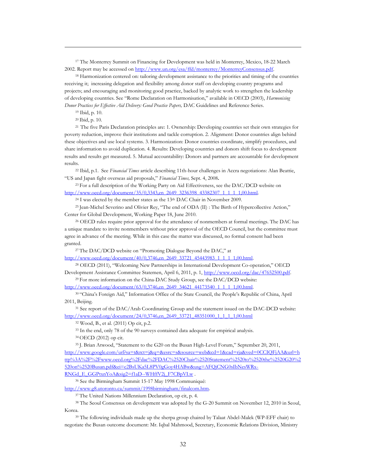<sup>17</sup> The Monterrey Summit on Financing for Development was held in Monterrey, Mexico, 18-22 March 2002. Report may be accessed on [http://www.un.org/esa/ffd/monterrey/MonterreyConsensus.pdf.](http://www.un.org/esa/ffd/monterrey/MonterreyConsensus.pdf)

<sup>18</sup> Harmonization centered on: tailoring development assistance to the priorities and timing of the countries receiving it; increasing delegation and flexibility among donor staff on developing country programs and projects; and encouraging and monitoring good practice, backed by analytic work to strengthen the leadership of developing countries. See "Rome Declaration on Harmonisation," available in OECD (2003), *Harmonising Donor Practices for Effective Aid Delivery: Good Practice Papers,* DAC Guidelines and Reference Series.

<sup>19</sup> Ibid, p. 10.

 $\overline{a}$ 

<sup>20</sup> Ibid, p. 10.

<sup>21</sup>The five Paris Declaration principles are: 1. Ownership: Developing countries set their own strategies for poverty reduction, improve their institutions and tackle corruption. 2. Alignment: Donor countries align behind these objectives and use local systems. 3. Harmonization: Donor countries coordinate, simplify procedures, and share information to avoid duplication. 4. Results: Developing countries and donors shift focus to development results and results get measured. 5. Mutual accountability: Donors and partners are accountable for development results.

<sup>22</sup> Ibid, p.1. See *Financial Times* article describing 11th-hour challenges in Accra negotiations: Alan Beattie, "US and Japan fight overseas aid proposals," *Financial Times,* Sept. 4, 2008**.**

<sup>23</sup> For a full description of the Working Party on Aid Effectiveness, see the DAC/DCD website on [http://www.oecd.org/document/35/0,3343,en\\_2649\\_3236398\\_43382307\\_1\\_1\\_1\\_1,00.html.](http://www.oecd.org/document/35/0,3343,en_2649_3236398_43382307_1_1_1_1,00.html)

 $24$  I was elected by the member states as the 13<sup>th</sup> DAC Chair in November 2009.

<sup>25</sup> Jean-Michel Severino and Olivier Rey, "The end of ODA (II) : The Birth of Hypercollective Action," Center for Global Development, Working Paper 18, June 2010.

<sup>26</sup> OECD rules require prior approval for the attendance of nonmembers at formal meetings. The DAC has a unique mandate to invite nonmembers without prior approval of the OECD Council, but the committee must agree in advance of the meeting. While in this case the matter was discussed, no formal consent had been granted.

<sup>27</sup> The DAC/DCD website on "Promoting Dialogue Beyond the DAC," at

[http://www.oecd.org/document/40/0,3746,en\\_2649\\_33721\\_45443983\\_1\\_1\\_1\\_1,00.html.](http://www.oecd.org/document/40/0,3746,en_2649_33721_45443983_1_1_1_1,00.html)

<sup>28</sup> OECD (2011), "Welcoming New Partnerships in International Development Co-operation," OECD Development Assistance Committee Statemen, April 6, 2011, p. 1, [http://www.oecd.org/dac/47652500.pdf.](http://www.oecd.org/dac/47652500.pdf) 

<sup>29</sup> For more information on the China-DAC Study Group, see the DAC/DCD website: [http://www.oecd.org/document/63/0,3746,en\\_2649\\_34621\\_44173540\\_1\\_1\\_1\\_1,00.html.](http://www.oecd.org/document/63/0,3746,en_2649_34621_44173540_1_1_1_1,00.html)

<sup>30</sup> "China's Foreign Aid," Information Office of the State Council, the People's Republic of China, April 2011, Beijing.

<sup>31</sup> See report of the DAC/Arab Coordinating Group and the statement issued on the DAC-DCD website: [http://www.oecd.org/document/24/0,3746,en\\_2649\\_33721\\_48351000\\_1\\_1\\_1\\_1,00.html](http://www.oecd.org/document/24/0,3746,en_2649_33721_48351000_1_1_1_1,00.html)

<sup>32</sup> Wood, B., et al. (2011) Op cit, p.2.

<sup>33</sup> In the end, only 78 of the 90 surveys contained data adequate for empirical analysis.

<sup>34</sup> OECD (2012) op cit.

<sup>35</sup> J. Brian Atwood, "Statement to the G20 on the Busan High-Level Forum," September 20, 2011,

[http://www.google.com/url?sa=t&rct=j&q=&esrc=s&source=web&cd=1&cad=rja&ved=0CCIQFjAA&url=h](http://www.google.com/url?sa=t&rct=j&q=&esrc=s&source=web&cd=1&cad=rja&ved=0CCIQFjAA&url=http%3A%2F%2Fwww.oecd.org%2Fdac%2FDAC%2520Chair%2520Statement%2520to%2520the%2520G20%2520on%2520Busan.pdf&ei=c2BsUKa5L8PV0gGoy4HABw&usg=AFQjCNG0sIbNesWRx-RNGd_E_GGPtxnYoA&sig2=f1aD--WHffV2j_F7CBpVLw) [ttp%3A%2F%2Fwww.oecd.org%2Fdac%2FDAC%2520Chair%2520Statement%2520to%2520the%2520G20%2](http://www.google.com/url?sa=t&rct=j&q=&esrc=s&source=web&cd=1&cad=rja&ved=0CCIQFjAA&url=http%3A%2F%2Fwww.oecd.org%2Fdac%2FDAC%2520Chair%2520Statement%2520to%2520the%2520G20%2520on%2520Busan.pdf&ei=c2BsUKa5L8PV0gGoy4HABw&usg=AFQjCNG0sIbNesWRx-RNGd_E_GGPtxnYoA&sig2=f1aD--WHffV2j_F7CBpVLw) [520on%2520Busan.pdf&ei=c2BsUKa5L8PV0gGoy4HABw&usg=AFQjCNG0sIbNesWRx-](http://www.google.com/url?sa=t&rct=j&q=&esrc=s&source=web&cd=1&cad=rja&ved=0CCIQFjAA&url=http%3A%2F%2Fwww.oecd.org%2Fdac%2FDAC%2520Chair%2520Statement%2520to%2520the%2520G20%2520on%2520Busan.pdf&ei=c2BsUKa5L8PV0gGoy4HABw&usg=AFQjCNG0sIbNesWRx-RNGd_E_GGPtxnYoA&sig2=f1aD--WHffV2j_F7CBpVLw)[RNGd\\_E\\_GGPtxnYoA&sig2=f1aD--WHffV2j\\_F7CBpVLw](http://www.google.com/url?sa=t&rct=j&q=&esrc=s&source=web&cd=1&cad=rja&ved=0CCIQFjAA&url=http%3A%2F%2Fwww.oecd.org%2Fdac%2FDAC%2520Chair%2520Statement%2520to%2520the%2520G20%2520on%2520Busan.pdf&ei=c2BsUKa5L8PV0gGoy4HABw&usg=AFQjCNG0sIbNesWRx-RNGd_E_GGPtxnYoA&sig2=f1aD--WHffV2j_F7CBpVLw) .

<sup>36</sup> See the Birmingham Summit 15-17 May 1998 Communiqué:

[http://www.g8.utoronto.ca/summit/1998birmingham/finalcom.htm.](http://www.g8.utoronto.ca/summit/1998birmingham/finalcom.htm) 

<sup>37</sup> The United Nations Millennium Declaration, op cit, p. 4.

<sup>38</sup> The Seoul Consensus on development was adopted by the G-20 Summit on November 12, 2010 in Seoul, Korea.

<sup>39</sup> The following individuals made up the sherpa group chaired by Talaat Abdel-Malek (WP-EFF chair) to negotiate the Busan outcome document: Mr. Iqbal Mahmood, Secretary, Economic Relations Division, Ministry